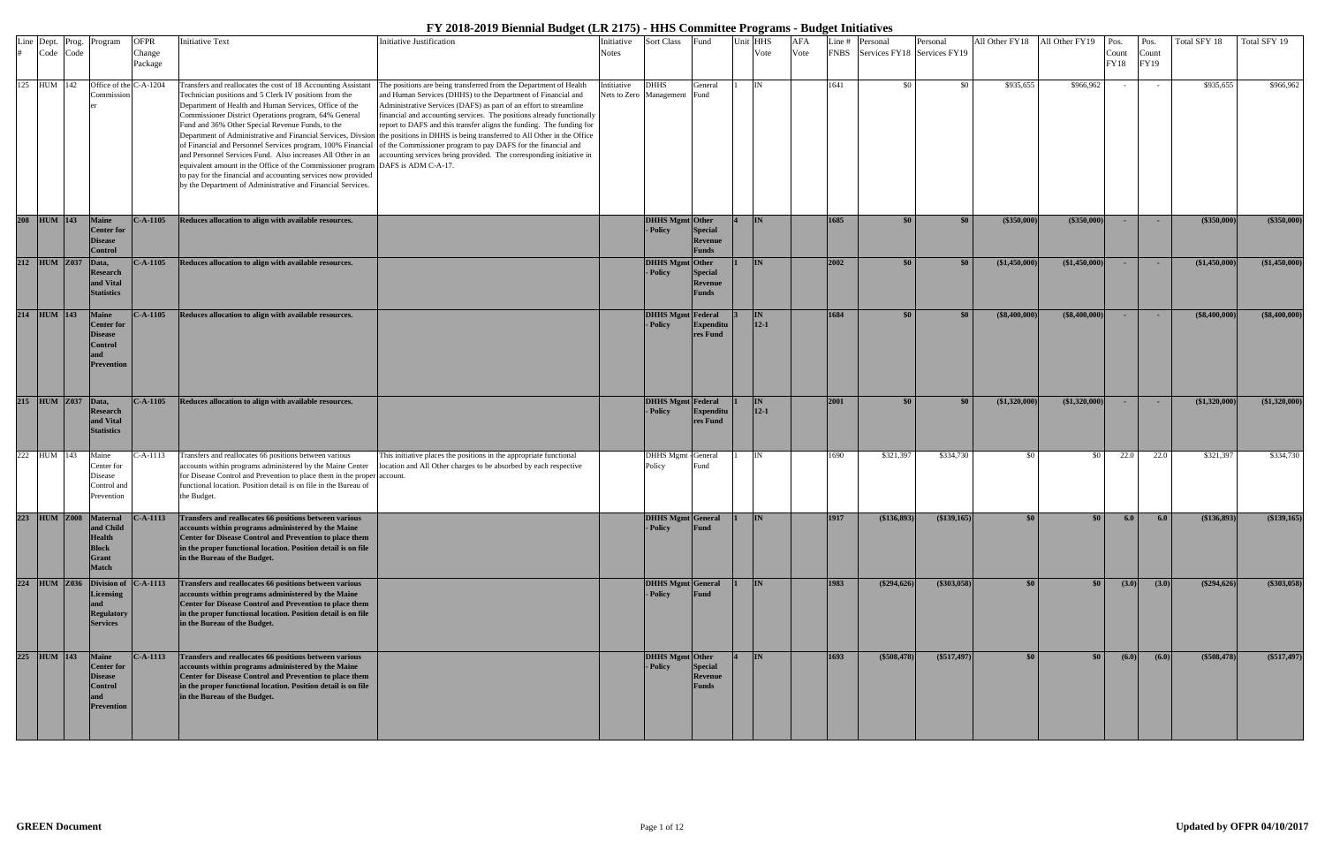| Code Code    |                    | Line Dept. Prog. Program                                                                   | <b>OFPR</b><br>Change | <b>Initiative Text</b>                                                                                                                                                                                                                                                                                                                                                                                                                                                                                                                                                           | <b>Initiative Justification</b>                                                                                                                                                                                                                                                                                                                                                                                                                                                                                                                                                                                                                                                                   | Initiative<br><b>Notes</b> | Sort Class                             | Fund                                             | nit HHS<br>Vote         | <b>AFA</b><br>Vote |      | Line # Personal<br>FNBS Services FY18 Services FY19 | Personal      | All Other FY18   | All Other FY19                               | Pos.<br>Count | Pos.<br>Count | Total SFY 18     | Total SFY 19  |
|--------------|--------------------|--------------------------------------------------------------------------------------------|-----------------------|----------------------------------------------------------------------------------------------------------------------------------------------------------------------------------------------------------------------------------------------------------------------------------------------------------------------------------------------------------------------------------------------------------------------------------------------------------------------------------------------------------------------------------------------------------------------------------|---------------------------------------------------------------------------------------------------------------------------------------------------------------------------------------------------------------------------------------------------------------------------------------------------------------------------------------------------------------------------------------------------------------------------------------------------------------------------------------------------------------------------------------------------------------------------------------------------------------------------------------------------------------------------------------------------|----------------------------|----------------------------------------|--------------------------------------------------|-------------------------|--------------------|------|-----------------------------------------------------|---------------|------------------|----------------------------------------------|---------------|---------------|------------------|---------------|
|              |                    |                                                                                            | Package               |                                                                                                                                                                                                                                                                                                                                                                                                                                                                                                                                                                                  |                                                                                                                                                                                                                                                                                                                                                                                                                                                                                                                                                                                                                                                                                                   |                            |                                        |                                                  |                         |                    |      |                                                     |               |                  |                                              | FY18          | FY19          |                  |               |
| 125 HUM 142  |                    | Office of the C-A-1204<br>Commissio                                                        |                       | Transfers and reallocates the cost of 18 Accounting Assistant<br>Technician positions and 5 Clerk IV positions from the<br>Department of Health and Human Services, Office of the<br>Commissioner District Operations program, 64% General<br>Fund and 36% Other Special Revenue Funds, to the<br>and Personnel Services Fund. Also increases All Other in an<br>equivalent amount in the Office of the Commissioner program DAFS is ADM C-A-17.<br>to pay for the financial and accounting services now provided<br>by the Department of Administrative and Financial Services. | The positions are being transferred from the Department of Health<br>and Human Services (DHHS) to the Department of Financial and<br>Administrative Services (DAFS) as part of an effort to streamline<br>financial and accounting services. The positions already functionally<br>report to DAFS and this transfer aligns the funding. The funding for<br>Department of Administrative and Financial Services, Divsion the positions in DHHS is being transferred to All Other in the Office<br>of Financial and Personnel Services program, 100% Financial of the Commissioner program to pay DAFS for the financial and<br>accounting services being provided. The corresponding initiative in | Intitiative                | <b>DHHS</b><br>Nets to Zero Management | General<br>Fund                                  | IN                      |                    | 641  | - \$0                                               | \$0           | \$935,655        | \$966,962                                    | $\sim$        | $\sim$        | \$935,655        | \$966,962     |
| 208 HUM 143  |                    | <b>Maine</b><br><b>Center</b> for<br><b>Disease</b><br><b>Control</b>                      | $C-A-1105$            | Reduces allocation to align with available resources.                                                                                                                                                                                                                                                                                                                                                                                                                                                                                                                            |                                                                                                                                                                                                                                                                                                                                                                                                                                                                                                                                                                                                                                                                                                   |                            | <b>DHHS Mgmt</b> Other<br>- Policy     | <b>Special</b><br><b>Revenue</b><br><b>Funds</b> | <b>IN</b>               |                    | 1685 | \$0 <sub>1</sub>                                    | \$0           | $(\$350,000)$    | $($ \$350,000) $ $                           | $\sim$        | $\sim$        | $(\$350,000)$    | (\$350,000)   |
| 212 HUM Z037 |                    | Data,<br><b>Research</b><br>and Vital<br><b>Statistics</b>                                 | $C-A-1105$            | Reduces allocation to align with available resources.                                                                                                                                                                                                                                                                                                                                                                                                                                                                                                                            |                                                                                                                                                                                                                                                                                                                                                                                                                                                                                                                                                                                                                                                                                                   |                            | <b>DHHS Mgmt</b> Other<br>- Policy     | <b>Special</b><br><b>Revenue</b><br><b>Funds</b> | <b>IN</b>               |                    | 2002 | \$0 <sub>1</sub>                                    | \$0           | (\$1,450,000)    | (\$1,450,000)                                | $\sim$        | <b>COL</b>    | $(*1,450,000)$   | (\$1,450,000) |
| 214 HUM 143  |                    | <b>Maine</b><br><b>Center</b> for<br><b>Disease</b><br>Control<br><b>Prevention</b>        | $C-A-1105$            | Reduces allocation to align with available resources.                                                                                                                                                                                                                                                                                                                                                                                                                                                                                                                            |                                                                                                                                                                                                                                                                                                                                                                                                                                                                                                                                                                                                                                                                                                   |                            | <b>DHHS Mgmt</b> Federal<br>- Policy   | Expenditu<br>res Fund                            | <b>IN</b><br>$12 - 1$   |                    | 1684 | \$0                                                 | \$0           | (\$8,400,000)    | (S8,400,000)                                 | <b>COL</b>    | ч.            | $($ \$8,400,000) | (\$8,400,000) |
|              | 215 HUM Z037 Data, | <b>Research</b><br>and Vital<br><b>Statistics</b>                                          | $C-A-1105$            | Reduces allocation to align with available resources.                                                                                                                                                                                                                                                                                                                                                                                                                                                                                                                            |                                                                                                                                                                                                                                                                                                                                                                                                                                                                                                                                                                                                                                                                                                   |                            | DHHS Mgmt Federal<br>- Policy          | <b>Expenditu</b><br>res Fund                     | <b>IN</b><br>$12 - 1$   |                    | 2001 | \$0                                                 | \$0           | \$1,320,000      | $(*1,320,000)$                               | $\sim$        | $\sim$        | (\$1,320,000)    | (\$1,320,000) |
| 222 HUM 143  |                    | Maine<br>Center for<br>Disease<br>Control and<br>Prevention                                | $C-A-1113$            | Transfers and reallocates 66 positions between various<br>accounts within programs administered by the Maine Center<br>for Disease Control and Prevention to place them in the proper<br>functional location. Position detail is on file in the Bureau of<br>the Budget.                                                                                                                                                                                                                                                                                                         | This initiative places the positions in the appropriate functional<br>location and All Other charges to be absorbed by each respective<br>account.                                                                                                                                                                                                                                                                                                                                                                                                                                                                                                                                                |                            | <b>DHHS Mgmt</b> - General<br>Policy   | Fund                                             | IN                      |                    | 1690 | \$321,397                                           | \$334,730     | - \$0            | - \$0                                        | 22.0          | 22.0          | \$321,397        | \$334,730     |
|              |                    | and Child<br><b>Health</b><br><b>Block</b><br><b>Grant</b><br><b>Match</b>                 |                       | 223 HUM Z008 Maternal C-A-1113 Transfers and reallocates 66 positions between various<br>accounts within programs administered by the Maine<br>Center for Disease Control and Prevention to place them<br>in the proper functional location. Position detail is on file<br>in the Bureau of the Budget.                                                                                                                                                                                                                                                                          |                                                                                                                                                                                                                                                                                                                                                                                                                                                                                                                                                                                                                                                                                                   |                            | DHHS Mgmt General 1<br>- Policy        | Fund                                             | $\overline{\mathbf{N}}$ |                    | 1917 | (S136, 893)                                         | (\$139,165)   | \$0 <sub>1</sub> | $\boldsymbol{S}$ 0 $\boldsymbol{\mathsf{I}}$ | 6.0           | 6.0           | (\$136.893)      | (\$139,165)   |
| 224 HUM Z036 |                    | Division of C-A-1113<br><b>Licensing</b><br><b>Regulatory</b><br><b>Services</b>           |                       | Transfers and reallocates 66 positions between various<br>accounts within programs administered by the Maine<br>Center for Disease Control and Prevention to place them<br>in the proper functional location. Position detail is on file<br>in the Bureau of the Budget.                                                                                                                                                                                                                                                                                                         |                                                                                                                                                                                                                                                                                                                                                                                                                                                                                                                                                                                                                                                                                                   |                            | <b>DHHS Mgmt General</b><br>- Policy   | <b>Fund</b>                                      | <b>IN</b>               |                    | 1983 | (\$294,626)                                         | $(\$303,058)$ | \$0              | $\sqrt{50}$                                  | (3.0)         | (3.0)         | (\$294,626)      | $(\$303,058)$ |
| 225 HUM 143  |                    | <b>Maine</b><br><b>Center</b> for<br><b>Disease</b><br><b>Control</b><br><b>Prevention</b> | $C-A-1113$            | Transfers and reallocates 66 positions between various<br>accounts within programs administered by the Maine<br>Center for Disease Control and Prevention to place them<br>in the proper functional location. Position detail is on file<br>in the Bureau of the Budget.                                                                                                                                                                                                                                                                                                         |                                                                                                                                                                                                                                                                                                                                                                                                                                                                                                                                                                                                                                                                                                   |                            | DHHS Mgmt Other<br>- Policy            | <b>Special</b><br><b>Revenue</b><br><b>Funds</b> | <b>IN</b>               |                    | 1693 | (\$508,478)                                         | $(\$517,497)$ | $\$0$            | \$0 <sub>1</sub>                             | (6.0)         | (6.0)         | (\$508,478)      | $(\$517,497)$ |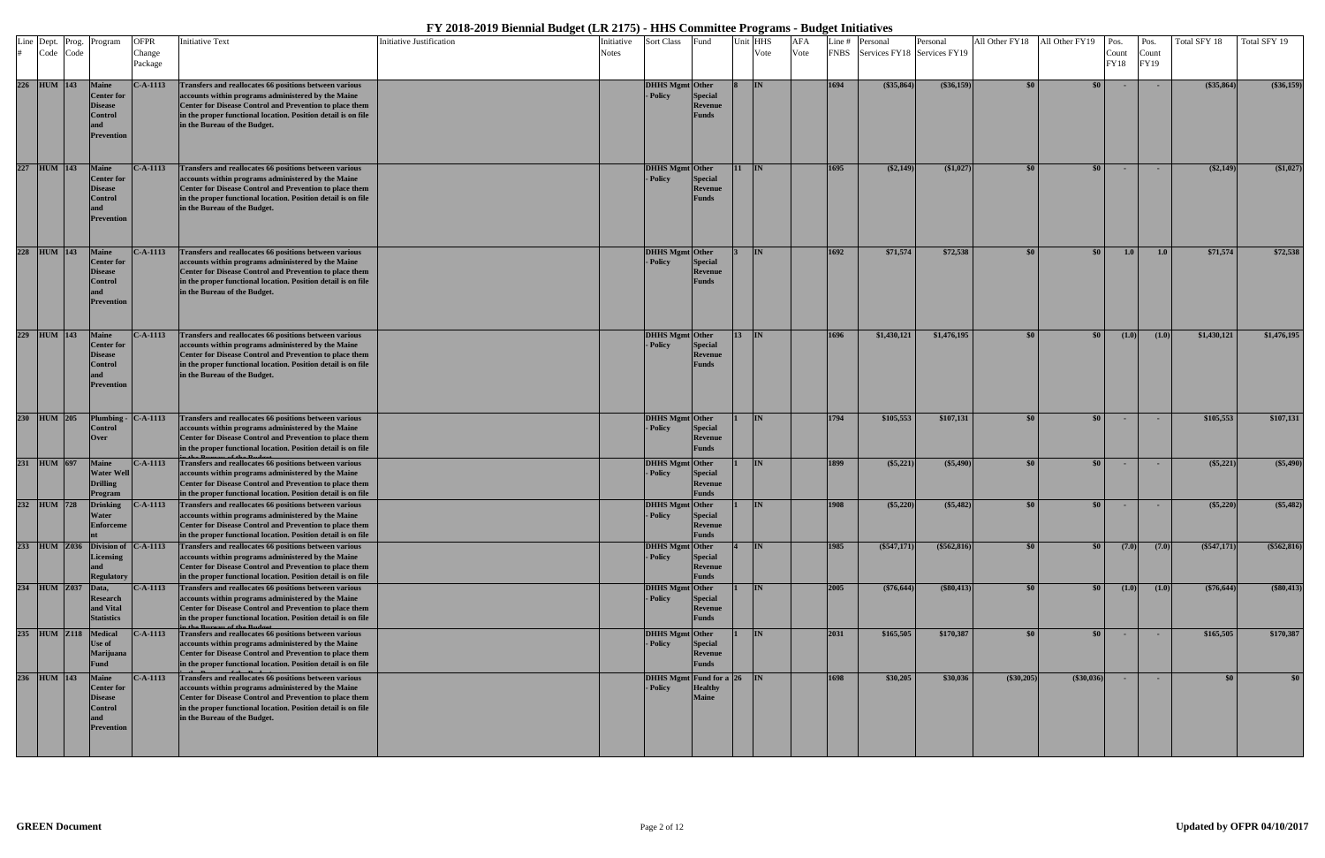|  | Line Dept. Prog.<br>Code Code | Program                                                                      | <b>OFPR</b><br>Change<br>Package | <b>Initiative Text</b>                                                                                                                                                                                                                                                          | Initiative Justification | Initiative<br><b>Notes</b> | Sort Class                              | Fund                                             |         | Unit HHS<br>Vote | <b>AFA</b><br>Vote |      | Line # Personal<br>FNBS Services FY18 Services FY19 | Personal      | All Other FY18   | All Other FY19   | Pos.<br>Count<br>FY18 | Pos.<br>Count<br>FY19 | Total SFY 18  | Total SFY 19  |
|--|-------------------------------|------------------------------------------------------------------------------|----------------------------------|---------------------------------------------------------------------------------------------------------------------------------------------------------------------------------------------------------------------------------------------------------------------------------|--------------------------|----------------------------|-----------------------------------------|--------------------------------------------------|---------|------------------|--------------------|------|-----------------------------------------------------|---------------|------------------|------------------|-----------------------|-----------------------|---------------|---------------|
|  | 226 HUM 143                   | <b>Maine</b><br><b>Center</b> for<br>Disease<br>Control<br>Prevention        | $C-A-1113$                       | Transfers and reallocates 66 positions between various<br>accounts within programs administered by the Maine<br><b>Center for Disease Control and Prevention to place them</b><br>in the proper functional location. Position detail is on file<br>in the Bureau of the Budget. |                          |                            | <b>DHHS Mgmt Other</b><br>- Policy      | <b>Special</b><br><b>Revenue</b><br><b>Funds</b> |         | <b>IIN</b>       |                    | 1694 | $(\$35,864)$                                        | $(\$36,159)$  | \$0              | \$0 <sub>1</sub> | $\sim$                | <b>COL</b>            | (\$35,864)    | (\$36,159)    |
|  | 227 HUM 143                   | <b>Maine</b><br><b>Center</b> for<br>Disease<br>Control<br>Prevention        | $C-A-1113$                       | Transfers and reallocates 66 positions between various<br>accounts within programs administered by the Maine<br>Center for Disease Control and Prevention to place them<br>in the proper functional location. Position detail is on file<br>in the Bureau of the Budget.        |                          |                            | DHHS Mgmt Other<br>- Policy             | <b>Special</b><br>Revenue<br><b>Funds</b>        | $11$ IN |                  |                    | 1695 | $(\$2,149)$                                         | (\$1,027)     | -\$0             | $\$0$            | $\sim$                | $\sim$                | $(\$2,149)$   | (\$1,027)     |
|  | 228 HUM 143                   | <b>Maine</b><br><b>Center for</b><br>Disease<br>Control<br>Prevention        | $C-A-1113$                       | Transfers and reallocates 66 positions between various<br>accounts within programs administered by the Maine<br>Center for Disease Control and Prevention to place them<br>in the proper functional location. Position detail is on file<br>in the Bureau of the Budget.        |                          |                            | <b>DHHS Mgmt</b> Other<br>- Policy      | <b>Special</b><br><b>Revenue</b><br><b>Funds</b> |         | <b>IN</b>        |                    | 1692 | \$71,574                                            | \$72,538      | $\$0$            | $\frac{1}{2}$    | 1.0                   | 1.0                   | \$71,574      | \$72,538      |
|  | 229 HUM 143                   | <b>Maine</b><br><b>Center for</b><br>Disease<br>Control<br>Prevention        | $C-A-1113$                       | Transfers and reallocates 66 positions between various<br>accounts within programs administered by the Maine<br>Center for Disease Control and Prevention to place them<br>in the proper functional location. Position detail is on file<br>in the Bureau of the Budget.        |                          |                            | DHHS Mgmt Other<br>- Policy             | <b>Special</b><br>Revenue<br><b>Funds</b>        | $13$ IN |                  |                    | 1696 | \$1,430,121                                         | \$1,476,195   | \$0              | \$0 <sub>1</sub> | (1.0)                 | (1.0)                 | \$1,430,121   | \$1,476,195   |
|  | 230 HUM 205                   | Plumbing<br>Control<br>Over                                                  | C-A-1113                         | Transfers and reallocates 66 positions between various<br>accounts within programs administered by the Maine<br>Center for Disease Control and Prevention to place them<br>in the proper functional location. Position detail is on file                                        |                          |                            | <b>DHHS Mgmt</b> Other<br><b>Policy</b> | <b>Special</b><br><b>Revenue</b><br><b>Funds</b> |         | <b>IN</b>        |                    | 1794 | \$105,553                                           | \$107,131     |                  | $\$0$            | <b>COL</b>            | <b>COL</b>            | \$105,553     | \$107,131     |
|  | 231 HUM 697                   | <b>Maine</b><br><b>Water Well</b><br><b>Drilling</b><br>Program              | $C-A-1113$                       | Transfers and reallocates 66 positions between various<br>accounts within programs administered by the Maine<br><b>Center for Disease Control and Prevention to place them</b><br>in the proper functional location. Position detail is on file                                 |                          |                            | <b>DHHS Mgmt</b> Other<br><b>Policy</b> | <b>Special</b><br><b>Revenue</b><br><b>Funds</b> |         | IN               |                    | 1899 | $(\$5,221)$                                         | $(\$5,490)$   | -80              | $\$0$            | $\sim$                |                       | $(\$5,221)$   | (\$5,490)     |
|  | 232 HUM 728                   | <b>Drinking</b><br>Water<br><b>Enforceme</b>                                 | $C-A-1113$                       | Transfers and reallocates 66 positions between various<br>accounts within programs administered by the Maine<br>Center for Disease Control and Prevention to place them<br>in the proper functional location. Position detail is on file                                        |                          |                            | DHHS Mgmt Other<br>- Policy             | <b>Special</b><br>Revenue<br>Funds               |         | IN               |                    | 1908 | $(\$5,220)$                                         | $(\$5,482)$   |                  | \$0 <sub>1</sub> | $\sim$                | <b>COL</b>            | $(\$5,220)$   | $(\$5,482)$   |
|  |                               | 233 HUM Z036 Division of<br><b>Licensing</b><br><b>Regulatory</b>            | $C-A-1113$                       | Transfers and reallocates 66 positions between various<br>accounts within programs administered by the Maine<br>Center for Disease Control and Prevention to place them<br>in the proper functional location. Position detail is on file                                        |                          |                            | DHHS Mgmt Other<br>- Policy             | <b>Special</b><br><b>Revenue</b><br><b>Funds</b> |         | <b>IN</b>        |                    | 1985 | (\$547,171)                                         | $(\$562,816)$ | \$0              | $\frac{1}{2}$    | (7.0)                 | (7.0)                 | $(\$547,171)$ | $(\$562,816)$ |
|  | 234 HUM Z037                  | Data,<br>Research<br>and Vital<br>Statistics                                 | $C-A-1113$                       | Transfers and reallocates 66 positions between various<br>accounts within programs administered by the Maine<br>Center for Disease Control and Prevention to place them<br>in the proper functional location. Position detail is on file<br>of the Dudge                        |                          |                            | <b>DHHS Mgmt</b> Other<br>- Policy      | <b>Special</b><br><b>Revenue</b><br><b>Funds</b> |         | <b>IN</b>        |                    | 2005 | $(\$76,644)$                                        | (\$80,413)    | $\$0$            | \$0 <sub>1</sub> | (1.0)                 | (1.0)                 | $(\$76,644)$  | (\$80,413)    |
|  | 235 HUM Z118                  | Medical<br>Use of<br>Marijuana<br>Fund                                       | $C-A-1113$                       | Transfers and reallocates 66 positions between various<br>accounts within programs administered by the Maine<br>Center for Disease Control and Prevention to place them<br>in the proper functional location. Position detail is on file                                        |                          |                            | DHHS Mgmt Other<br>- Policy             | <b>Special</b><br>Revenue<br><b>Funds</b>        |         | <b>IN</b>        |                    | 2031 | \$165,505                                           | \$170,387     | \$0 <sub>1</sub> | $\frac{1}{2}$    | $\sim$ $-$            | <b>.</b>              | \$165,505     | \$170,387     |
|  | 236 HUM 143                   | <b>Maine</b><br><b>Center</b> for<br>Disease<br>Control<br>and<br>Prevention | $C-A-1113$                       | Transfers and reallocates 66 positions between various<br>accounts within programs administered by the Maine<br>Center for Disease Control and Prevention to place them<br>in the proper functional location. Position detail is on file<br>in the Bureau of the Budget.        |                          |                            | DHHS Mgmt Fund for a 26<br>- Policy     | <b>Healthy</b><br><b>Maine</b>                   |         | IN               |                    | 1698 | \$30,205                                            | \$30,036      | (\$30,205)       | $(*30,036)$      | $\sim$                | <b>COL</b>            | \$0           | \$0           |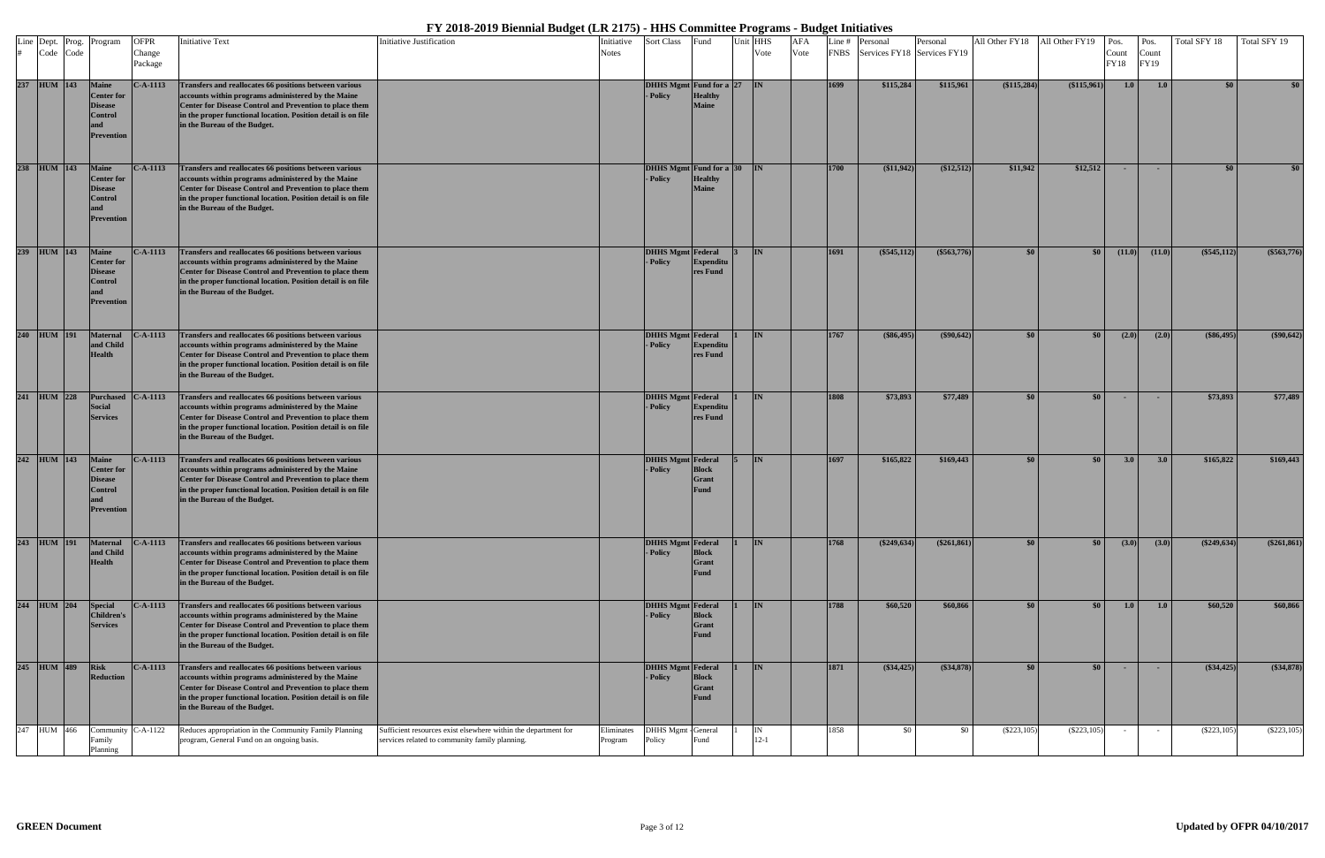| Code Code   | Line Dept. Prog. Program                                                                   | <b>OFPR</b><br>Change<br>Package | <b>Initiative Text</b>                                                                                                                                                                                                                                                          | Initiative Justification                                                                                         | Initiative<br><b>Notes</b> | Sort Class                                | Fund                                        | Unit HHS<br>Vote | <b>AFA</b><br>Vote |      | Line # Personal<br>FNBS Services FY18 Services FY19 | Personal      | All Other FY18 All Other FY19 |               | Pos.<br>Count<br><b>FY18</b> | Pos.<br>Count<br>FY19 | Total SFY 18  | Total SFY 19     |
|-------------|--------------------------------------------------------------------------------------------|----------------------------------|---------------------------------------------------------------------------------------------------------------------------------------------------------------------------------------------------------------------------------------------------------------------------------|------------------------------------------------------------------------------------------------------------------|----------------------------|-------------------------------------------|---------------------------------------------|------------------|--------------------|------|-----------------------------------------------------|---------------|-------------------------------|---------------|------------------------------|-----------------------|---------------|------------------|
| 237 HUM 143 | <b>Maine</b><br><b>Center</b> for<br><b>Disease</b><br><b>Control</b><br><b>Prevention</b> | $C-A-1113$                       | Transfers and reallocates 66 positions between various<br>accounts within programs administered by the Maine<br>Center for Disease Control and Prevention to place them<br>in the proper functional location. Position detail is on file<br>in the Bureau of the Budget.        |                                                                                                                  |                            | DHHS Mgmt Fund for a 27 IN<br>- Policy    | <b>Healthy</b><br><b>Maine</b>              |                  |                    | 1699 | \$115,284                                           | \$115,961     | (\$115,284)                   | (\$115,961)   | 1.0                          | 1.0                   | \$0           | \$0 <sub>1</sub> |
| 238 HUM 143 | <b>Maine</b><br><b>Center</b> for<br><b>Disease</b><br>Control<br>Prevention               | $C-A-1113$                       | Transfers and reallocates 66 positions between various<br>accounts within programs administered by the Maine<br>Center for Disease Control and Prevention to place them<br>in the proper functional location. Position detail is on file<br>in the Bureau of the Budget.        |                                                                                                                  |                            | DHHS Mgmt Fund for a 30<br>- Policy       | <b>Healthy</b><br><b>Maine</b>              | $\mathbf{IN}$    |                    | 1700 | (\$11,942)                                          | (\$12,512)    | \$11,942                      | \$12,512      | $\sim$                       | $\sim$                | \$0           | \$0 <sub>1</sub> |
| 239 HUM 143 | <b>Maine</b><br><b>Center</b> for<br><b>Disease</b><br>Control<br>Prevention               | $C-A-1113$                       | Transfers and reallocates 66 positions between various<br>accounts within programs administered by the Maine<br>Center for Disease Control and Prevention to place them<br>in the proper functional location. Position detail is on file<br>in the Bureau of the Budget.        |                                                                                                                  |                            | <b>DHHS Mgmt</b> Federal<br>- Policy      | <b>Expenditu</b><br>res Fund                | I <sub>IN</sub>  |                    | 1691 | $(\$545,112)$                                       | $(\$563,776)$ | \$0                           | \$0           | (11.0)                       | (11.0)                | (\$545,112)   | $(\$563,776)$    |
| 240 HUM 191 | <b>Maternal</b><br>and Child<br><b>Health</b>                                              | $C-A-1113$                       | Transfers and reallocates 66 positions between various<br>accounts within programs administered by the Maine<br>Center for Disease Control and Prevention to place them<br>in the proper functional location. Position detail is on file<br>in the Bureau of the Budget.        |                                                                                                                  |                            | <b>DHHS Mgmt Federal</b><br>- Policy      | <b>Expenditu</b><br>res Fund                | <b>IN</b>        |                    | 1767 | $(\$86,495)$                                        | $(\$90,642)$  | \$0                           | \$0           | (2.0)                        | (2.0)                 | (\$86,495)    | $(\$90,642)$     |
| 241 HUM 228 | Purchased<br><b>Social</b><br><b>Services</b>                                              | $C-A-1113$                       | Transfers and reallocates 66 positions between various<br>accounts within programs administered by the Maine<br><b>Center for Disease Control and Prevention to place them</b><br>in the proper functional location. Position detail is on file<br>in the Bureau of the Budget. |                                                                                                                  |                            | <b>DHHS Mgmt</b> Federal<br><b>Policy</b> | <b>Expenditu</b><br>res Fund                | <b>IN</b>        |                    | 1808 | \$73,893                                            | \$77,489      | \$0                           | \$0           | <b>COL</b>                   | $\sim$                | \$73,893      | \$77,489         |
| 242 HUM 143 | <b>Maine</b><br><b>Center</b> for<br><b>Disease</b><br>Control<br>Prevention               | $C-A-1113$                       | Transfers and reallocates 66 positions between various<br>accounts within programs administered by the Maine<br>Center for Disease Control and Prevention to place them<br>in the proper functional location. Position detail is on file<br>in the Bureau of the Budget.        |                                                                                                                  |                            | <b>DHHS Mgmt</b> Federal<br>- Policy      | <b>Block</b><br><b>Grant</b><br><b>Fund</b> | IN.              |                    | 1697 | \$165,822                                           | \$169,443     | \$0                           | \$0           | 3.0                          | 3.0                   | \$165,822     | \$169,443        |
| 243 HUM 191 | <b>Maternal</b><br>and Child<br><b>Health</b>                                              | $C-A-1113$                       | Transfers and reallocates 66 positions between various<br>accounts within programs administered by the Maine<br>Center for Disease Control and Prevention to place them<br>in the proper functional location. Position detail is on file<br>in the Bureau of the Budget.        |                                                                                                                  |                            | <b>DHHS Mgmt</b> Federal<br>- Policy      | <b>Block</b><br>Grant<br><b>Fund</b>        | IN               |                    | 1768 | $(\$249,634)$                                       | $(*261,861)$  | \$0                           | \$0           | (3.0)                        | (3.0)                 | (\$249,634)   | $(\$261,861)$    |
| 244 HUM 204 | <b>Special</b><br><b>Children's</b><br><b>Services</b>                                     | $C-A-1113$                       | Transfers and reallocates 66 positions between various<br>accounts within programs administered by the Maine<br>Center for Disease Control and Prevention to place them<br>in the proper functional location. Position detail is on file<br>in the Bureau of the Budget.        |                                                                                                                  |                            | <b>DHHS Mgmt</b> Federal<br>- Policy      | <b>Block</b><br>Grant<br><b>Fund</b>        | IN.              |                    | 1788 | \$60,520                                            | \$60,866      | \$0                           | \$0           | 1.0                          | 1.0                   | \$60,520      | \$60,866         |
| 245 HUM 489 | <b>Risk</b><br><b>Reduction</b>                                                            | $C-A-1113$                       | Transfers and reallocates 66 positions between various<br>accounts within programs administered by the Maine<br>Center for Disease Control and Prevention to place them<br>in the proper functional location. Position detail is on file<br>in the Bureau of the Budget.        |                                                                                                                  |                            | DHHS Mgmt Federal<br>- Policy             | <b>Block</b><br><b>Grant</b><br><b>Fund</b> | IN.              |                    | 1871 | $(\$34,425)$                                        | (\$34,878)    | \$0                           | \$0           | $\sim$                       | $\sim$                | (\$34,425)    | (\$34,878)       |
| 247 HUM 466 | Community<br>Family<br>Planning                                                            | $C-A-1122$                       | Reduces appropriation in the Community Family Planning<br>program, General Fund on an ongoing basis.                                                                                                                                                                            | Sufficient resources exist elsewhere within the department for<br>services related to community family planning. | Eliminates<br>Program      | DHHS Mgmt - General<br>Policy             | ùnd                                         | $12 - 1$         |                    | 1858 | \$0                                                 | \$0           | $(\$223,105)$                 | $(\$223,105)$ | $\sim$                       | $\sim$                | $(\$223,105)$ | $(\$223,105)$    |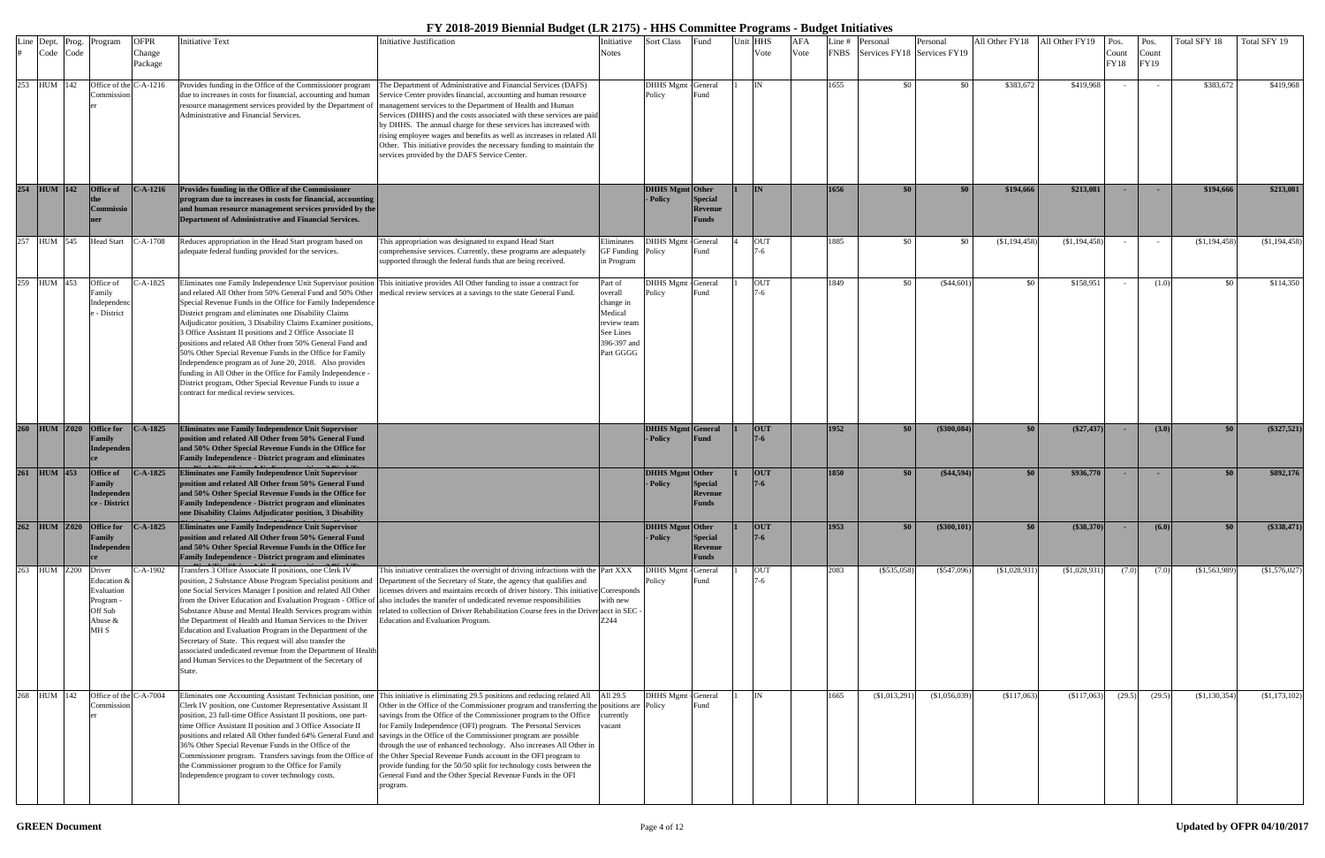| Line | Dept.<br>Code Code |                     | Prog. Program                                                        | <b>OFPR</b><br>Change | <b>Initiative Text</b>                                                                                                                                                                                                                                                                                                                                                                                                                                                                                                                                                                                                                                                   | Initiative Justification                                                                                                                                                                                                                                                                                                                                                                                                                                                                                                                                                                                                                                                                                                                                                                    | Initiative<br>Notes                                                                                | Sort Class                           | Fund                                      | Unit HHS<br>Vote | <b>AFA</b><br>Vote | -ine #<br><b>FNBS</b> | Personal<br>Services FY18 Services FY19 | Personal       | All Other FY18 | All Other FY19  | Pos.<br>Count | Pos.<br>Count | Total SFY 18    | Total SFY 19  |
|------|--------------------|---------------------|----------------------------------------------------------------------|-----------------------|--------------------------------------------------------------------------------------------------------------------------------------------------------------------------------------------------------------------------------------------------------------------------------------------------------------------------------------------------------------------------------------------------------------------------------------------------------------------------------------------------------------------------------------------------------------------------------------------------------------------------------------------------------------------------|---------------------------------------------------------------------------------------------------------------------------------------------------------------------------------------------------------------------------------------------------------------------------------------------------------------------------------------------------------------------------------------------------------------------------------------------------------------------------------------------------------------------------------------------------------------------------------------------------------------------------------------------------------------------------------------------------------------------------------------------------------------------------------------------|----------------------------------------------------------------------------------------------------|--------------------------------------|-------------------------------------------|------------------|--------------------|-----------------------|-----------------------------------------|----------------|----------------|-----------------|---------------|---------------|-----------------|---------------|
|      |                    |                     |                                                                      | Package               |                                                                                                                                                                                                                                                                                                                                                                                                                                                                                                                                                                                                                                                                          |                                                                                                                                                                                                                                                                                                                                                                                                                                                                                                                                                                                                                                                                                                                                                                                             |                                                                                                    |                                      |                                           |                  |                    |                       |                                         |                |                |                 | <b>FY18</b>   | FY19          |                 |               |
|      | 253 HUM 142        |                     | Office of the C-A-1216<br>Commission                                 |                       | due to increases in costs for financial, accounting and human<br>Administrative and Financial Services.                                                                                                                                                                                                                                                                                                                                                                                                                                                                                                                                                                  | Provides funding in the Office of the Commissioner program The Department of Administrative and Financial Services (DAFS)<br>Service Center provides financial, accounting and human resource<br>resource management services provided by the Department of management services to the Department of Health and Human<br>Services (DHHS) and the costs associated with these services are paid<br>by DHHS. The annual charge for these services has increased with<br>rising employee wages and benefits as well as increases in related All<br>Other. This initiative provides the necessary funding to maintain the<br>services provided by the DAFS Service Center.                                                                                                                      |                                                                                                    | DHHS Mgmt - General<br>Policy        | Fund                                      | IN               |                    | 1655                  | - \$0                                   | \$0            | \$383,672      | \$419,968       |               |               | \$383,672       | \$419,968     |
|      | 254 HUM 142        |                     | <b>Office of</b><br><b>Commissio</b>                                 | $C-A-1216$            | Provides funding in the Office of the Commissioner<br>program due to increases in costs for financial, accounting<br>and human resource management services provided by the<br>Department of Administrative and Financial Services.                                                                                                                                                                                                                                                                                                                                                                                                                                      |                                                                                                                                                                                                                                                                                                                                                                                                                                                                                                                                                                                                                                                                                                                                                                                             |                                                                                                    | DHHS Mgmt Other<br>- Policy          | <b>Special</b><br>Revenue<br>Funds        | IN               |                    | 1656                  | $\$0$                                   | \$0            | \$194,666      | \$213,081       | <b>COL</b>    | <b>.</b>      | \$194,666       | \$213,081     |
| 257  | HUM 545            |                     | <b>Head Start</b>                                                    | $C-A-1708$            | Reduces appropriation in the Head Start program based on<br>adequate federal funding provided for the services.                                                                                                                                                                                                                                                                                                                                                                                                                                                                                                                                                          | This appropriation was designated to expand Head Start<br>comprehensive services. Currently, these programs are adequately<br>supported through the federal funds that are being received.                                                                                                                                                                                                                                                                                                                                                                                                                                                                                                                                                                                                  | liminates<br><b>GF</b> Funding<br>in Program                                                       | DHHS Mgmt - General<br>Policy        | Fund                                      | <b>OUT</b>       |                    | 1885                  | - \$0                                   | \$0            | (\$1,194,458)  | $(\$1,194,458)$ |               |               | (\$1,194,458)   | (\$1,194,458) |
|      | 259 HUM 453        |                     | Office of<br><sup>7</sup> amily<br>Independenc<br>- District         | -A-1825               | and related All Other from 50% General Fund and 50% Other<br>Special Revenue Funds in the Office for Family Independence<br>District program and eliminates one Disability Claims<br>Adjudicator position, 3 Disability Claims Examiner positions,<br>3 Office Assistant II positions and 2 Office Associate II<br>positions and related All Other from 50% General Fund and<br>50% Other Special Revenue Funds in the Office for Family<br>Independence program as of June 20, 2018. Also provides<br>funding in All Other in the Office for Family Independence -<br>District program, Other Special Revenue Funds to issue a<br>contract for medical review services. | Eliminates one Family Independence Unit Supervisor position This initiative provides All Other funding to issue a contract for<br>medical review services at a savings to the state General Fund.                                                                                                                                                                                                                                                                                                                                                                                                                                                                                                                                                                                           | Part of<br>overall<br>change in<br>Medical<br>review team<br>See Lines<br>396-397 and<br>Part GGGG | DHHS Mgmt - General<br>Policy        | Fund                                      | <b>OUT</b>       |                    | 1849                  | -80                                     | $(\$44,601)$   | -80            | \$158,951       |               | (1.0)         | \$0             | \$114,350     |
|      | 260 HUM Z020       |                     | <b>Office for</b><br>Family<br>Independen                            | $C-A-1825$            | Eliminates one Family Independence Unit Supervisor<br>position and related All Other from 50% General Fund<br>and 50% Other Special Revenue Funds in the Office for<br><b>Family Independence - District program and eliminates</b>                                                                                                                                                                                                                                                                                                                                                                                                                                      |                                                                                                                                                                                                                                                                                                                                                                                                                                                                                                                                                                                                                                                                                                                                                                                             |                                                                                                    | <b>DHHS Mgmt General</b><br>- Policy | <b>Fund</b>                               | <b>OUT</b>       |                    | 1952                  | \$0                                     | $(\$300,084)$  | \$0            | $(\$27,437)$    | - 1           | (3.0)         | \$0             | $(\$327,521)$ |
|      | 261 HUM 453        |                     | Office of<br>Family<br>Independen<br>ce - District                   | <b>C-A-1825</b>       | Eliminates one Family Independence Unit Supervisor<br>position and related All Other from 50% General Fund<br>and 50% Other Special Revenue Funds in the Office for<br><b>Family Independence - District program and eliminates</b><br>one Disability Claims Adjudicator position, 3 Disability                                                                                                                                                                                                                                                                                                                                                                          |                                                                                                                                                                                                                                                                                                                                                                                                                                                                                                                                                                                                                                                                                                                                                                                             |                                                                                                    | <b>DHHS Mgmt</b> Other<br>- Policy   | <b>Special</b><br><b>Revenue</b><br>Funds | <b>OUT</b>       |                    | 1850                  | $\$0$                                   | $(\$44,594)$   | \$0            | \$936,770       | - 1           | <b>.</b>      | \$0             | \$892,176     |
|      |                    |                     | 262 HUM Z020 Office for<br><b>Family</b><br>Independen               | $C-A-1825$            | <b>Eliminates one Family Independence Unit Supervisor</b><br>position and related All Other from 50% General Fund<br>and 50% Other Special Revenue Funds in the Office for<br><b>Family Independence - District program and eliminates</b>                                                                                                                                                                                                                                                                                                                                                                                                                               |                                                                                                                                                                                                                                                                                                                                                                                                                                                                                                                                                                                                                                                                                                                                                                                             |                                                                                                    | <b>DHHS Mgmt</b> Other<br>- Policy   | <b>Special</b><br>Revenue<br><b>Funds</b> | <b>OUT</b>       |                    | 1953                  | \$0 <sub>1</sub>                        | $(\$300, 101)$ | \$0            | $(\$38,370)$    | $\sim$        | (6.0)         | \$0\$           | (\$338,471)   |
|      |                    | 263 HUM Z200 Driver | Education &<br>Evaluation<br>Program -<br>Off Sub<br>Abuse &<br>MH S | C-A-1902              | Transfers 3 Office Associate II positions, one Clerk IV<br>position, 2 Substance Abuse Program Specialist positions and<br>one Social Services Manager I position and related All Other<br>from the Driver Education and Evaluation Program - Office of<br>Substance Abuse and Mental Health Services program within<br>the Department of Health and Human Services to the Driver<br>Education and Evaluation Program in the Department of the<br>Secretary of State. This request will also transfer the<br>associated undedicated revenue from the Department of Health<br>and Human Services to the Department of the Secretary of<br>State.                          | This initiative centralizes the oversight of driving infractions with the Part XXX<br>Department of the Secretary of State, the agency that qualifies and<br>licenses drivers and maintains records of driver history. This initiative Corresponds<br>also includes the transfer of undedicated revenue responsibilities<br>related to collection of Driver Rehabilitation Course fees in the Driver acct in SEC<br>Education and Evaluation Program.                                                                                                                                                                                                                                                                                                                                       | ith new<br>7.244                                                                                   | DHHS Mgmt - General<br>Policy        | Fund                                      | <b>OUT</b>       |                    | 2083                  | $(\$535,058)$                           | $(\$547,096)$  | (S1,028,931)   | (\$1,028,931)   | (7.0)         | (7.0)         | (\$1,563,989)   | (\$1,576,027) |
| 268  | HUM 142            |                     | Office of the C-A-7004<br>Commission                                 |                       | Eliminates one Accounting Assistant Technician position, one<br>Clerk IV position, one Customer Representative Assistant II<br>position, 23 full-time Office Assistant II positions, one part-<br>time Office Assistant II position and 3 Office Associate II<br>36% Other Special Revenue Funds in the Office of the<br>the Commissioner program to the Office for Family<br>Independence program to cover technology costs.                                                                                                                                                                                                                                            | This initiative is eliminating 29.5 positions and reducing related All<br>Other in the Office of the Commissioner program and transferring the positions are Policy<br>savings from the Office of the Commissioner program to the Office<br>for Family Independence (OFI) program. The Personal Services<br>positions and related All Other funded 64% General Fund and savings in the Office of the Commissioner program are possible<br>through the use of enhanced technology. Also increases All Other in<br>Commissioner program. Transfers savings from the Office of the Other Special Revenue Funds account in the OFI program to<br>provide funding for the 50/50 split for technology costs between the<br>General Fund and the Other Special Revenue Funds in the OFI<br>program | All 29.5<br>currently<br>acant                                                                     | <b>DHHS Mgmt</b> - General           | Fund                                      | IN               |                    | 1665                  | $(\$1,013,29)$                          | (\$1,056,039)  | (\$117,063)    | (\$117,063)     | (29.5)        | (29.5)        | $(\$1,130,354)$ | (\$1,173,102) |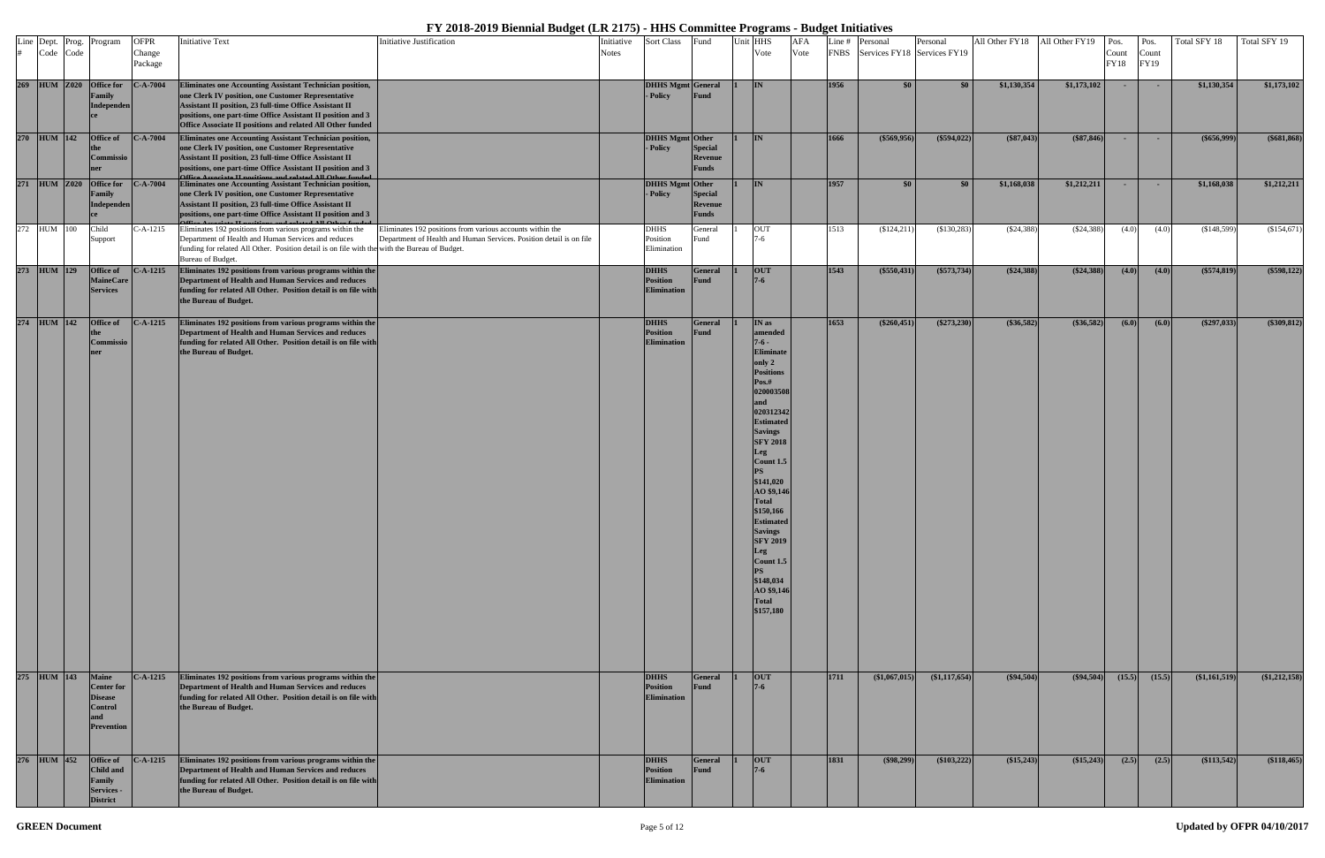|  | # Code Code | Line Dept. Prog. Program                                                                          | <b>OFPR</b><br>Change<br>Package | <b>Initiative Text</b>                                                                                                                                                                                                                                                                                        | <b>Initiative Justification</b>                                                                                                  | Initiative<br><b>Notes</b> | <b>Sort Class</b>                                    | Fund                                             | Unit HHS<br>Vote                                                                                                                                                                                                                                                                                                                                                                                                   | <b>AFA</b><br>Vote |             | Line # Personal<br>FNBS Services FY18 Services FY19 | Personal        | All Other FY18 | All Other FY19 | Pos.<br>Count<br>FY18 | Pos.<br>Count<br>FY19 | Total SFY 18    | Total SFY 19   |
|--|-------------|---------------------------------------------------------------------------------------------------|----------------------------------|---------------------------------------------------------------------------------------------------------------------------------------------------------------------------------------------------------------------------------------------------------------------------------------------------------------|----------------------------------------------------------------------------------------------------------------------------------|----------------------------|------------------------------------------------------|--------------------------------------------------|--------------------------------------------------------------------------------------------------------------------------------------------------------------------------------------------------------------------------------------------------------------------------------------------------------------------------------------------------------------------------------------------------------------------|--------------------|-------------|-----------------------------------------------------|-----------------|----------------|----------------|-----------------------|-----------------------|-----------------|----------------|
|  |             | 269 HUM Z020 Office for<br>Family<br><b>Independen</b>                                            | $C-A-7004$                       | Eliminates one Accounting Assistant Technician position,<br>one Clerk IV position, one Customer Representative<br>Assistant II position, 23 full-time Office Assistant II<br>positions, one part-time Office Assistant II position and 3<br>Office Associate II positions and related All Other funded        |                                                                                                                                  |                            | DHHS Mgmt General<br>- Policy                        | Fund                                             | I <sub>IN</sub>                                                                                                                                                                                                                                                                                                                                                                                                    |                    | 1956        | $\sqrt{50}$                                         | \$0             | \$1,130,354    | \$1,173,102    | <b>COL</b>            | <b>COL</b>            | \$1,130,354     | \$1,173,102    |
|  | 270 HUM 142 | <b>Office of</b><br>Commissio                                                                     | $C-A-7004$                       | Eliminates one Accounting Assistant Technician position,<br>one Clerk IV position, one Customer Representative<br><b>Assistant II position, 23 full-time Office Assistant II</b><br>positions, one part-time Office Assistant II position and 3<br>Office Associate II positions and related All Other funded |                                                                                                                                  |                            | DHHS Mgmt Other<br>- Policy                          | <b>Special</b><br><b>Revenue</b><br><b>Funds</b> | IN                                                                                                                                                                                                                                                                                                                                                                                                                 |                    | 1666        | $(\$569,956)$                                       | $(\$594,022)$   | (\$87,043)     | $(*87,846)$    | $\sim$ $\sim$         | $\sim$                | $(\$656,999)$   | $($ \$681,868) |
|  |             | 271 HUM Z020 Office for<br><b>Family</b><br><b>Independen</b>                                     | $C-A-7004$                       | <b>Eliminates one Accounting Assistant Technician position,</b><br>one Clerk IV position, one Customer Representative<br>Assistant II position, 23 full-time Office Assistant II<br>positions, one part-time Office Assistant II position and 3                                                               |                                                                                                                                  |                            | <b>DHHS Mgmt Other</b><br>- Policy                   | <b>Special</b><br><b>Revenue</b><br><b>Funds</b> | IN                                                                                                                                                                                                                                                                                                                                                                                                                 |                    | 1957        | $\sqrt{50}$                                         | \$0             | \$1,168,038    | \$1,212,211    | <b>COL</b>            | $\sim$                | \$1,168,038     | \$1,212,211    |
|  | 272 HUM 100 | Child<br>Support                                                                                  | C-A-1215                         | Eliminates 192 positions from various programs within the<br>Department of Health and Human Services and reduces<br>funding for related All Other. Position detail is on file with the with the Bureau of Budget.<br>Bureau of Budget.                                                                        | Eliminates 192 positions from various accounts within the<br>Department of Health and Human Services. Position detail is on file |                            | <b>DHHS</b><br>Position<br>Elimination               | General<br>Fund                                  | <b>OUT</b>                                                                                                                                                                                                                                                                                                                                                                                                         |                    | 1513        | $(\$124,211)$                                       | $(\$130,283)$   | $(\$24,388)$   | $(\$24,388)$   | (4.0)                 | (4.0)                 | (\$148,599)     | (\$154,671)    |
|  | 273 HUM 129 | <b>Office of</b><br><b>MaineCare</b><br><b>Services</b>                                           | $C-A-1215$                       | Eliminates 192 positions from various programs within the<br>Department of Health and Human Services and reduces<br>funding for related All Other. Position detail is on file with<br>the Bureau of Budget.                                                                                                   |                                                                                                                                  |                            | <b>DHHS</b><br><b>Position</b><br><b>Elimination</b> | <b>General</b><br><b>Fund</b>                    | <b>OUT</b><br>$7 - 6$                                                                                                                                                                                                                                                                                                                                                                                              |                    | 1543        | (\$550,431)                                         | $(\$573,734)$   | $(\$24,388)$   | $(*24,388)$    | (4.0)                 | (4.0)                 | $(\$574,819)$   | (\$598,122)    |
|  | 274 HUM 142 | <b>Office of</b><br><b>Commissio</b><br>ner                                                       | $C-A-1215$                       | Eliminates 192 positions from various programs within the<br>Department of Health and Human Services and reduces<br>funding for related All Other. Position detail is on file with<br>the Bureau of Budget.                                                                                                   |                                                                                                                                  |                            | <b>DHHS</b><br><b>Position</b><br><b>Elimination</b> | <b>General</b><br><b>Fund</b>                    | IN as<br>amended<br>$7 - 6 -$<br><b>Eliminate</b><br>only 2<br><b>Positions</b><br>Pos.#<br>020003508<br>and<br>020312342<br><b>Estimated</b><br><b>Savings</b><br><b>SFY 2018</b><br>Leg<br>Count 1.5<br><b>PS</b><br>\$141,020<br>AO \$9,146<br><b>Total</b><br>\$150,166<br><b>Estimated</b><br><b>Savings</b><br><b>SFY 2019</b><br>Leg<br>Count $1.5$<br>\$148,034<br>AO \$9,146<br><b>Total</b><br>\$157,180 |                    | 1653        | $(\$260,451)$                                       | $(\$273,230)$   | (\$36,582)     | $(*36,582)$    | (6.0)                 | (6.0)                 | (\$297,033)     | $(*309, 812)$  |
|  | 275 HUM 143 | <b>Maine</b><br><b>Center for</b><br><b>Disease</b><br><b>Control</b><br>and<br><b>Prevention</b> | <b>C-A-1215</b>                  | Eliminates 192 positions from various programs within the<br>Department of Health and Human Services and reduces<br>funding for related All Other. Position detail is on file with<br>the Bureau of Budget.                                                                                                   |                                                                                                                                  |                            | <b>DHHS</b><br><b>Position</b><br><b>Elimination</b> | General<br><b>Fund</b>                           | <b>OUT</b><br>$7 - 6$                                                                                                                                                                                                                                                                                                                                                                                              |                    | <b>1711</b> | $(\$1,067,015)$                                     | $(\$1,117,654)$ | $(\$94,504)$   | $(\$94,504)$   | (15.5)                | (15.5)                | $(\$1,161,519)$ | (\$1,212,158)  |
|  | 276 HUM 452 | Office of<br><b>Child and</b><br>Family<br><b>Services -</b><br>District                          |                                  | C-A-1215 Eliminates 192 positions from various programs within the<br>Department of Health and Human Services and reduces<br>funding for related All Other. Position detail is on file with<br>the Bureau of Budget.                                                                                          |                                                                                                                                  |                            | <b>DHHS</b><br><b>Position</b><br><b>Elimination</b> | <b>General</b><br><b>Fund</b>                    | <b>OUT</b><br>$7 - 6$                                                                                                                                                                                                                                                                                                                                                                                              |                    | 1831        | $(\$98,299)$                                        | (\$103,222)     | (\$15,243)     | $(\$15,243)$   | (2.5)                 | (2.5)                 | (\$113,542)     | (\$118,465)    |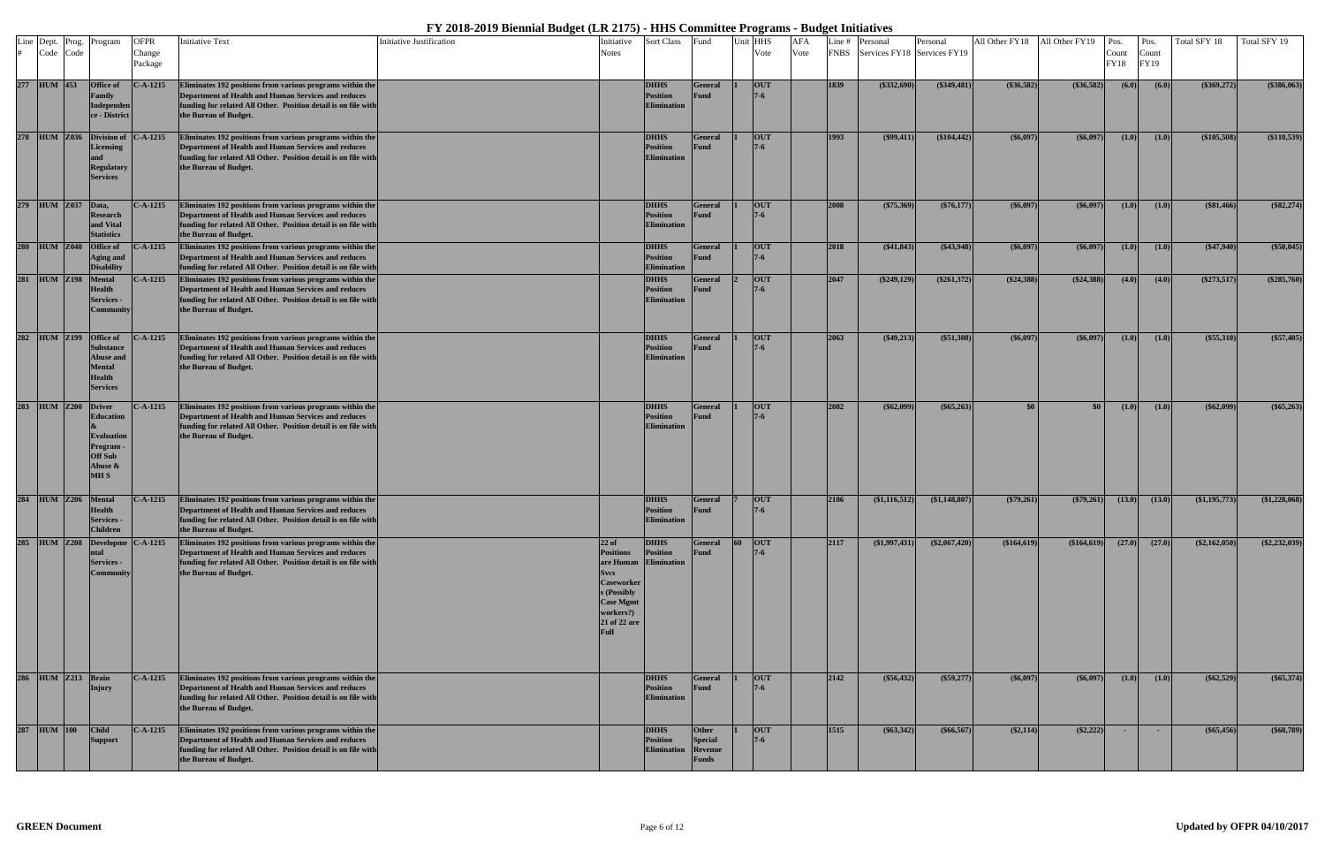|             | Line Dept. Prog.   | Program                                                                                          | <b>OFPR</b>       | Initiative Text                                                                                                                                                                                             | <b>Initiative Justification</b> | Initiative                                                                                                                                                  | <b>Sort Class</b>                                    | Fund                                               |    | Unit HHS   | <b>AFA</b> | Line # | Personal                         | Personal        | All Other FY18 | All Other FY19   | Pos.             | Pos.          | Total SFY 18    | Total SFY 19    |
|-------------|--------------------|--------------------------------------------------------------------------------------------------|-------------------|-------------------------------------------------------------------------------------------------------------------------------------------------------------------------------------------------------------|---------------------------------|-------------------------------------------------------------------------------------------------------------------------------------------------------------|------------------------------------------------------|----------------------------------------------------|----|------------|------------|--------|----------------------------------|-----------------|----------------|------------------|------------------|---------------|-----------------|-----------------|
|             | Code Code          |                                                                                                  | Change<br>Package |                                                                                                                                                                                                             |                                 | <b>Notes</b>                                                                                                                                                |                                                      |                                                    |    | Vote       | Vote       |        | FNBS Services FY18 Services FY19 |                 |                |                  | Count<br>FY18    | Count<br>FY19 |                 |                 |
| 277 HUM 453 |                    | <b>Office of</b><br>Family<br>Independen<br>ce - District                                        | $C-A-1215$        | Eliminates 192 positions from various programs within the<br>Department of Health and Human Services and reduces<br>funding for related All Other. Position detail is on file with<br>the Bureau of Budget. |                                 |                                                                                                                                                             | <b>DHHS</b><br><b>Position</b><br><b>Elimination</b> | <b>General</b><br><b>Fund</b>                      |    | <b>OUT</b> |            | 1839   | $(\$332,690)$                    | $(\$349,481)$   | (\$36,582)     | $(*36,582)$      | (6.0)            | (6.0)         | (\$369,272)     | (\$386,063)     |
|             | 278 HUM Z036       | Division of<br><b>Licensing</b><br><b>Regulatory</b><br><b>Services</b>                          | $C-A-1215$        | Eliminates 192 positions from various programs within the<br>Department of Health and Human Services and reduces<br>funding for related All Other. Position detail is on file with<br>the Bureau of Budget. |                                 |                                                                                                                                                             | <b>DHHS</b><br><b>Position</b><br><b>Elimination</b> | <b>General</b><br><b>Fund</b>                      |    | <b>OUT</b> |            | 1993   | $(\$99,411)$                     | (\$104,442)     | $(\$6,097)$    | $(\$6,097)$      | (1.0)            | (1.0)         | (\$105,508)     | (\$110,539)     |
|             | 279 HUM Z037 Data, | <b>Research</b><br>and Vital<br><b>Statistics</b>                                                | C-A-1215          | Eliminates 192 positions from various programs within the<br>Department of Health and Human Services and reduces<br>funding for related All Other. Position detail is on file with<br>the Bureau of Budget. |                                 |                                                                                                                                                             | <b>DHHS</b><br><b>Position</b><br><b>Elimination</b> | <b>General</b><br><b>Fund</b>                      |    | <b>OUT</b> |            | 2008   | $(\$75,369)$                     | $(\$76,177)$    | $(\$6,097$     | $(\$6,097)$      | (1.0)            | (1.0)         | (\$81,466)      | (\$82,274)      |
|             | 280 HUM Z040       | <b>Office of</b><br><b>Aging and</b><br><b>Disability</b>                                        | C-A-1215          | Eliminates 192 positions from various programs within the<br>Department of Health and Human Services and reduces<br>funding for related All Other. Position detail is on file with                          |                                 |                                                                                                                                                             | <b>DHHS</b><br><b>Position</b><br><b>Elimination</b> | <b>General</b><br><b>Fund</b>                      |    | <b>OUT</b> |            | 2018   | (\$41,843)                       | $(\$43,948)$    | $(\$6,097)$    | $(\$6,097)$      | (1.0)            | (1.0)         | $(\$47,940)$    | (\$50,045)      |
|             | 281 HUM Z198       | Mental<br><b>Health</b><br><b>Services -</b><br>Community                                        | $C-A-1215$        | Eliminates 192 positions from various programs within the<br>Department of Health and Human Services and reduces<br>funding for related All Other. Position detail is on file with<br>the Bureau of Budget. |                                 |                                                                                                                                                             | <b>DHHS</b><br><b>Position</b><br><b>Elimination</b> | <b>General</b><br><b>Fund</b>                      |    | <b>OUT</b> |            | 2047   | $(\$249,129)$                    | $(\$261,372)$   | $(\$24,388)$   | $(*24,388)$      | (4.0)            | (4.0)         | $(\$273,517)$   | (\$285,760)     |
|             | 282 HUM Z199       | Office of<br>Substance<br><b>Abuse and</b><br><b>Mental</b><br><b>Health</b><br><b>Services</b>  | $C-A-1215$        | Eliminates 192 positions from various programs within the<br>Department of Health and Human Services and reduces<br>funding for related All Other. Position detail is on file with<br>the Bureau of Budget. |                                 |                                                                                                                                                             | <b>DHHS</b><br><b>Position</b><br><b>Elimination</b> | <b>General</b><br>Fund                             |    | <b>OUT</b> |            | 2063   | $(*49,213)$                      | $(\$51,308)$    | $(\$6,097)$    | $(\$6,097)$      | (1.0)            | (1.0)         | $(\$55,310)$    | (\$57,405)      |
|             | 283 HUM Z200       | <b>Driver</b><br>Education<br><b>Evaluation</b><br>Program ·<br>Off Sub<br>Abuse &<br><b>MHS</b> | C-A-1215          | Eliminates 192 positions from various programs within the<br>Department of Health and Human Services and reduces<br>funding for related All Other. Position detail is on file with<br>the Bureau of Budget. |                                 |                                                                                                                                                             | <b>DHHS</b><br><b>Position</b><br><b>Elimination</b> | <b>General</b><br><b>Fund</b>                      |    | <b>OUT</b> |            | 2082   | $(\$62,099)$                     | $(\$65,263)$    | $\$0$          | \$0 <sub>1</sub> | (1.0)            | (1.0)         | $($ \$62,099)   | $(\$65,263)$    |
|             | 284 HUM Z206       | Mental<br><b>Health</b><br>сі уісез -<br><b>Children</b>                                         | $C-A-1215$        | Eliminates 192 positions from various programs within the<br>Department of Health and Human Services and reduces<br>funding for related All Other. Position detail is on file with<br>the Bureau of Budget. |                                 |                                                                                                                                                             | <b>DHHS</b><br><b>Position</b>                       | <b>General</b><br><b>Fund</b>                      |    | <b>OUT</b> |            | 2106   | $(\$1,116,512)$                  | (\$1,148,807)   | $(\$79,261)$   | $(*79,261)$      | (13.0)           | (13.0)        | (\$1,195,773)   | (\$1,228,068)   |
|             | 285 HUM Z208       | Developme $C-A-1215$<br><b>Services -</b><br>Community                                           |                   | Eliminates 192 positions from various programs within the<br>Department of Health and Human Services and reduces<br>funding for related All Other. Position detail is on file with<br>the Bureau of Budget. |                                 | $22$ of<br><b>Positions</b><br>are Human<br><b>Svcs</b><br><b>Caseworker</b><br>s (Possibly<br><b>Case Mgmt</b><br>workers?)<br>21 of 22 are<br><b>Full</b> | <b>DHHS</b><br><b>Position</b><br><b>Elimination</b> | <b>General</b><br><b>Fund</b>                      | 60 | <b>OUT</b> |            | 2117   | (\$1,997,431)                    | $(\$2,067,420)$ | (\$164,619)    | \$164,619        | (27.0)           | (27.0)        | $(\$2,162,050)$ | $(\$2,232,039)$ |
|             | 286 HUM Z213 Brain | Injury                                                                                           | $C-A-1215$        | Eliminates 192 positions from various programs within the<br>Department of Health and Human Services and reduces<br>funding for related All Other. Position detail is on file with<br>the Bureau of Budget. |                                 |                                                                                                                                                             | <b>DHHS</b><br><b>Position</b><br><b>Elimination</b> | <b>General</b><br>Fund                             |    | <b>OUT</b> |            | 2142   | $(\$56,432)$                     | $(\$59,277)$    | $(\$6,097)$    | $(\$6,097)$      | (1.0)            | (1.0)         | $(\$62,529)$    | (\$65,374)      |
| 287 HUM 100 |                    | <b>Child</b><br>Support                                                                          | $C-A-1215$        | Eliminates 192 positions from various programs within the<br>Department of Health and Human Services and reduces<br>funding for related All Other. Position detail is on file with<br>the Bureau of Budget. |                                 |                                                                                                                                                             | <b>DHHS</b><br><b>Position</b><br><b>Elimination</b> | Other<br><b>Special</b><br><b>Revenue</b><br>Funds |    | <b>OUT</b> |            | 1515   | $(*63,342)$                      | $(\$66,567)$    | $(\$2,114)$    | $(\$2,222)$      | $\sim$ 100 $\pm$ | <b>COL</b>    | $(\$65,456)$    | (\$68,789)      |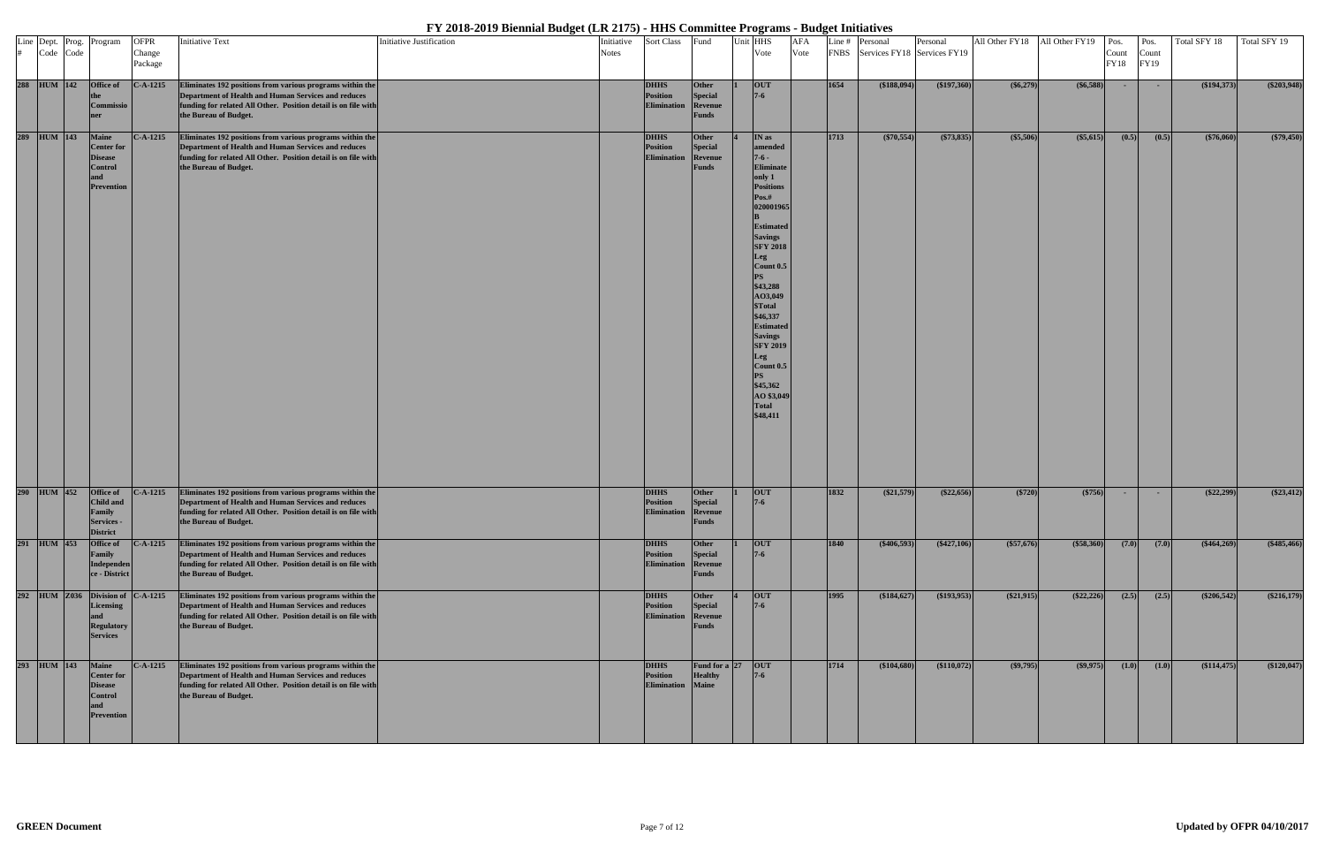|  |             | Line Dept. Prog. Program                                                                          | <b>OFPR</b>       | <b>Initiative Text</b>                                                                                                                                                                                      | Initiative Justification | Initiative   | <b>Sort Class</b>                             | Fund                                               | Unit HHS                                                                                                                                                                                                                                                                                                                                                                                                   | AFA  |      | Line # Personal                  | Personal     | All Other FY18 All Other FY19 |                   | Pos.           | Pos.                 | Total SFY 18 | Total SFY 19  |
|--|-------------|---------------------------------------------------------------------------------------------------|-------------------|-------------------------------------------------------------------------------------------------------------------------------------------------------------------------------------------------------------|--------------------------|--------------|-----------------------------------------------|----------------------------------------------------|------------------------------------------------------------------------------------------------------------------------------------------------------------------------------------------------------------------------------------------------------------------------------------------------------------------------------------------------------------------------------------------------------------|------|------|----------------------------------|--------------|-------------------------------|-------------------|----------------|----------------------|--------------|---------------|
|  | # Code Code |                                                                                                   | Change<br>Package |                                                                                                                                                                                                             |                          | <b>Notes</b> |                                               |                                                    | Vote                                                                                                                                                                                                                                                                                                                                                                                                       | Vote |      | FNBS Services FY18 Services FY19 |              |                               |                   | Count<br>FY18  | Count<br><b>FY19</b> |              |               |
|  |             | 288 HUM 142 Office of<br>Commissio<br>ner                                                         | $C-A-1215$        | Eliminates 192 positions from various programs within the<br>Department of Health and Human Services and reduces<br>funding for related All Other. Position detail is on file with<br>the Bureau of Budget. |                          |              | <b>DHHS</b><br><b>Position</b><br>Elimination | Other<br><b>Special</b><br>Revenue<br><b>Funds</b> | <b>OUT</b><br>$7 - 6$                                                                                                                                                                                                                                                                                                                                                                                      |      | 1654 | (\$188,094)                      | (\$197,360)  | $($ \$6,279)                  | $($ \$6,588) $ $  | $\sim 10^{-1}$ | $\sim$ $-$           | (\$194,373)  | $(\$203,948)$ |
|  | 289 HUM 143 | <b>Maine</b><br><b>Center for</b><br><b>Disease</b><br><b>Control</b><br><b>Prevention</b>        | $C-A-1215$        | Eliminates 192 positions from various programs within the<br>Department of Health and Human Services and reduces<br>funding for related All Other. Position detail is on file with<br>the Bureau of Budget. |                          |              | <b>DHHS</b><br>Position<br>Elimination        | Other<br><b>Special</b><br>Revenue<br><b>Funds</b> | IN as<br>amended<br>$7 - 6 -$<br><b>Eliminate</b><br>only 1<br><b>Positions</b><br>Pos.#<br>020001965<br><b>Estimated</b><br><b>Savings</b><br><b>SFY 2018</b><br>Leg<br>Count 0.5<br>PS<br>\$43,288<br>AO3,049<br><b><i><u>STotal</u></i></b><br>\$46,337<br><b>Estimated</b><br><b>Savings</b><br><b>SFY 2019</b><br>Leg<br>Count 0.5<br><b>PS</b><br>\$45,362<br>AO \$3,049<br><b>Total</b><br>\$48,411 |      | 1713 | $(*70,554)$                      | $(*73,835)$  | (\$5,506)                     | $($ \$5,615)      | (0.5)          | (0.5)                | (\$76,060)   | (\$79,450)    |
|  | 290 HUM 452 | <b>Office of</b><br><b>Child and</b><br>Family<br><b>Services -</b><br><b>District</b>            | $C-A-1215$        | Eliminates 192 positions from various programs within the<br>Department of Health and Human Services and reduces<br>funding for related All Other. Position detail is on file with<br>the Bureau of Budget. |                          |              | <b>DHHS</b><br><b>Position</b><br>Elimination | Other<br><b>Special</b><br>Revenue<br>unus         | <b>OUT</b><br>$7 - 6$                                                                                                                                                                                                                                                                                                                                                                                      |      | 1832 | $(\$21,579)$                     | $(\$22,656)$ | $(*720)$                      | (\$756)           | $\sim$         | $\sim$               | $(\$22,299)$ | $(\$23,412)$  |
|  | 291 HUM 453 | <b>Office of</b><br>Family<br>Independen<br>ce - District                                         | $C-A-1215$        | Eliminates 192 positions from various programs within the<br>Department of Health and Human Services and reduces<br>funding for related All Other. Position detail is on file with<br>the Bureau of Budget. |                          |              | <b>DHHS</b><br>Position<br>Elimination        | Other<br><b>Special</b><br>Revenue<br><b>Funds</b> | <b>OUT</b><br>$7 - 6$                                                                                                                                                                                                                                                                                                                                                                                      |      | 1840 | ( \$406,593)                     | $(*427,106)$ | (\$57,676)                    | $($ \$58,360) $ $ | (7.0)          | (7.0)                | $(*464,269)$ | $(*485,466)$  |
|  |             | 292 HUM Z036 Division of<br><b>Licensing</b><br>and<br><b>Regulatory</b><br><b>Services</b>       | $C-A-1215$        | Eliminates 192 positions from various programs within the<br>Department of Health and Human Services and reduces<br>funding for related All Other. Position detail is on file with<br>the Bureau of Budget. |                          |              | <b>DHHS</b><br>Position<br>Elimination        | Other<br><b>Special</b><br>Revenue<br><b>Funds</b> | <b>OUT</b><br>$7 - 6$                                                                                                                                                                                                                                                                                                                                                                                      |      | 1995 | (\$184,627)                      | (193, 953)   | (\$21,915)                    | $(\$22,226)$      | (2.5)          | (2.5)                | $(*206,542)$ | $(\$216,179)$ |
|  | 293 HUM 143 | <b>Maine</b><br><b>Center for</b><br><b>Disease</b><br><b>Control</b><br>and<br><b>Prevention</b> | $C-A-1215$        | Eliminates 192 positions from various programs within the<br>Department of Health and Human Services and reduces<br>funding for related All Other. Position detail is on file with<br>the Bureau of Budget. |                          |              | <b>DHHS</b><br>Position<br><b>Elimination</b> | Fund for a 27<br><b>Healthy</b><br><b>Maine</b>    | <b>OUT</b><br>$7-6$                                                                                                                                                                                                                                                                                                                                                                                        |      | 1714 | (\$104,680)                      | (\$110,072)  | $(\$9,795)$                   | $($ \$9,975)      | (1.0)          | (1.0)                | (\$114,475)  | (\$120,047)   |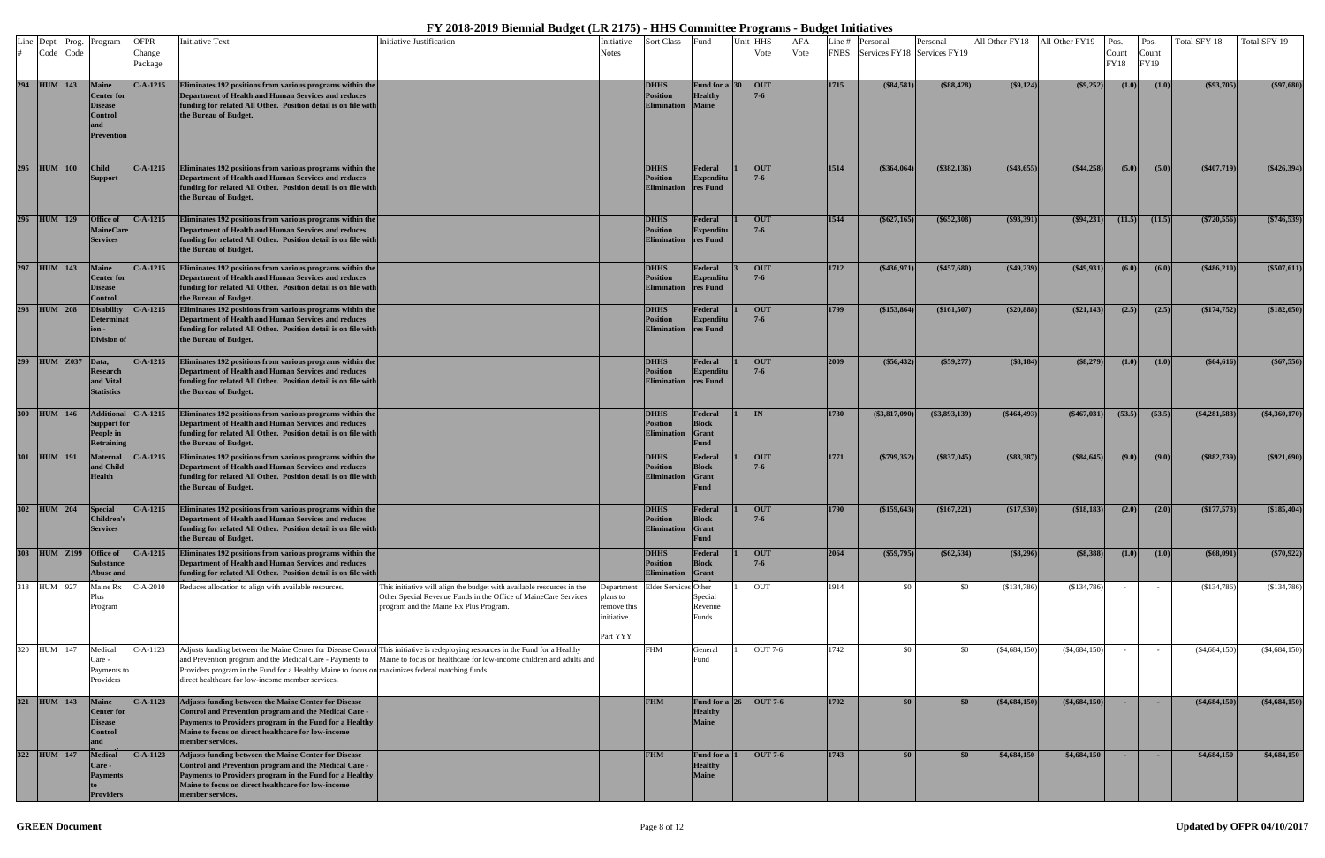| # Code Code | Line Dept. Prog.   | Program                                                                             | <b>OFPR</b><br>Change<br>Package | <b>Initiative Text</b>                                                                                                                                                                                                                             | Initiative Justification                                                                                                                                                                                                                                         | Initiative<br>Notes                                              | <b>Sort Class</b>                                    | Fund                                                      | Unit HHS<br>Vote      | AFA<br>Vote | Line # | Personal<br>FNBS Services FY18 Services FY19 | Personal        | All Other FY18  | All Other FY19  | Pos.<br>Count<br>FY18 | Pos.<br>Count<br>FY19 | Total SFY 18    | Total SFY 19    |
|-------------|--------------------|-------------------------------------------------------------------------------------|----------------------------------|----------------------------------------------------------------------------------------------------------------------------------------------------------------------------------------------------------------------------------------------------|------------------------------------------------------------------------------------------------------------------------------------------------------------------------------------------------------------------------------------------------------------------|------------------------------------------------------------------|------------------------------------------------------|-----------------------------------------------------------|-----------------------|-------------|--------|----------------------------------------------|-----------------|-----------------|-----------------|-----------------------|-----------------------|-----------------|-----------------|
| 294 HUM 143 |                    | <b>Maine</b><br><b>Center for</b><br><b>Disease</b><br>Control<br><b>Prevention</b> | $C-A-1215$                       | Eliminates 192 positions from various programs within the<br>Department of Health and Human Services and reduces<br>funding for related All Other. Position detail is on file with<br>the Bureau of Budget.                                        |                                                                                                                                                                                                                                                                  |                                                                  | <b>DHHS</b><br>Position<br><b>Elimination</b>        | <b>Fund for a 30</b><br><b>Healthy</b><br><b>Maine</b>    | <b>OUT</b>            |             | 1715   | $(\$84,581)$                                 | $(\$88,428)$    | $(\$9,124)$     | $(\$9,252)$     | (1.0)                 | (1.0)                 | $(\$93,705)$    | (\$97,680)      |
| 295 HUM 100 |                    | <b>Child</b><br><b>Support</b>                                                      | $C-A-1215$                       | Eliminates 192 positions from various programs within the<br>Department of Health and Human Services and reduces<br>funding for related All Other. Position detail is on file with<br>the Bureau of Budget.                                        |                                                                                                                                                                                                                                                                  |                                                                  | <b>DHHS</b><br>Position<br><b>Elimination</b>        | Federal<br><b>Expenditu</b><br>res Fund                   | <b>OUT</b><br>$7 - 6$ |             | 1514   | (\$364,064)                                  | $(\$382,136)$   | $(\$43,655)$    | $(\$44,258)$    | (5.0)                 | (5.0)                 | $(*407,719)$    | $(\$426,394)$   |
| 296 HUM 129 |                    | <b>Office of</b><br><b>MaineCare</b><br><b>Services</b>                             | $C-A-1215$                       | Eliminates 192 positions from various programs within the<br>Department of Health and Human Services and reduces<br>funding for related All Other. Position detail is on file with<br>the Bureau of Budget.                                        |                                                                                                                                                                                                                                                                  |                                                                  | <b>DHHS</b><br>Position<br><b>Elimination</b>        | Federal<br><b>Expenditu</b><br>res Fund                   | <b>OUT</b><br>$7 - 6$ |             | 1544   | $(\$627,165]$                                | \$652,308       | $(\$93,391)$    | $(\$94,231)$    | (11.5)                | (11.5)                | $(\$720,556)$   | $(\$746,539)$   |
| 297 HUM 143 |                    | <b>Maine</b><br><b>Center for</b><br><b>Disease</b><br>Control                      | $C-A-1215$                       | Eliminates 192 positions from various programs within the<br>Department of Health and Human Services and reduces<br>funding for related All Other. Position detail is on file with<br>the Bureau of Budget.                                        |                                                                                                                                                                                                                                                                  |                                                                  | <b>DHHS</b><br>Position<br><b>Elimination</b>        | Federal<br><b>Expenditu</b><br>res Fund                   | <b>OUT</b>            |             | 1712   | $(\$436,971$                                 | $(\$457,680)$   | $(\$49,239)$    | $(\$49,931)$    | (6.0)                 | (6.0)                 | $(\$486,210)$   | (\$507,611)     |
| 298 HUM 208 |                    | Disability<br>Determinat<br>Division of                                             | $C-A-1215$                       | Eliminates 192 positions from various programs within the<br>Department of Health and Human Services and reduces<br>funding for related All Other. Position detail is on file with<br>the Bureau of Budget.                                        |                                                                                                                                                                                                                                                                  |                                                                  | <b>DHHS</b><br>Position<br><b>Elimination</b>        | Federal<br><b>Expenditu</b><br>res Fund                   | <b>OUT</b>            |             | 1799   | (\$153,864)                                  | (\$161,507      | $(\$20,888)$    | $(\$21,143)$    | (2.5)                 | (2.5)                 | (\$174,752)     | (\$182,650)     |
|             | 299 HUM Z037 Data, | <b>Research</b><br>and Vital<br><b>Statistics</b>                                   | $C-A-1215$                       | Eliminates 192 positions from various programs within the<br>Department of Health and Human Services and reduces<br>funding for related All Other. Position detail is on file with<br>the Bureau of Budget.                                        |                                                                                                                                                                                                                                                                  |                                                                  | <b>DHHS</b><br><b>Position</b><br><b>Elimination</b> | Federal<br><b>Expenditu</b><br>res Fund                   | <b>OUT</b>            |             | 2009   | $(\$56,432)$                                 | $(\$59,277)$    | (\$8,184)       | (\$8,279)       | (1.0)                 | (1.0)                 | $(\$64,616)$    | $(\$67,556)$    |
| 300 HUM 146 |                    | <b>Additional</b><br>Support for<br>People in<br><b>Retraining</b>                  | $C-A-1215$                       | Eliminates 192 positions from various programs within the<br>Department of Health and Human Services and reduces<br>funding for related All Other. Position detail is on file with<br>the Bureau of Budget.                                        |                                                                                                                                                                                                                                                                  |                                                                  | <b>DHHS</b><br><b>Position</b><br><b>Elimination</b> | Federal<br><b>Block</b><br><b>Grant</b><br><b>Fund</b>    | IN                    |             | 1730   | $(*3,817,090)$                               | $(\$3,893,139)$ | $(*464,493)$    | $(*467,031)$    | (53.5)                | (53.5)                | $(*4,281,583)$  | (\$4,360,170)   |
| 301 HUM 191 |                    | <b>Maternal</b><br>and Child<br><b>Health</b>                                       | $C-A-1215$                       | Eliminates 192 positions from various programs within the<br>Department of Health and Human Services and reduces<br>funding for related All Other. Position detail is on file with<br>the Bureau of Budget.                                        |                                                                                                                                                                                                                                                                  |                                                                  | <b>DHHS</b><br>Position<br><b>Elimination</b>        | Federal<br>Block<br><b>Grant</b><br>Fund                  | <b>OUT</b>            |             | 1771   | $(\$799,352)$                                | $(\$837,045)$   | $(\$83,387)$    | $(\$84,645)$    | (9.0)                 | (9.0)                 | $(\$882,739)$   | $(\$921,690)$   |
|             | 302 HUM 204        | <b>Special</b><br><b>Children's</b><br><b>Services</b>                              | $C-A-1215$                       | Eliminates 192 positions from various programs within the<br>Department of Health and Human Services and reduces<br>funding for related All Other. Position detail is on file with<br>the Bureau of Budget.                                        |                                                                                                                                                                                                                                                                  |                                                                  | <b>DHHS</b><br><b>Position</b><br><b>Elimination</b> | Federal<br><b>Block</b><br>Grant<br><b>Fund</b>           | <b>OUT</b>            |             | 1790   | (\$159,643)                                  | $(\$167,221)$   | (\$17,930)      | (\$18,183)      | (2.0)                 | (2.0)                 | (\$177,573)     | (\$185,404)     |
|             | 303 HUM Z199       | <b>Office of</b><br><b>Substance</b><br>Abuse and                                   | $C-A-1215$                       | Eliminates 192 positions from various programs within the<br>Department of Health and Human Services and reduces<br>funding for related All Other. Position detail is on file with                                                                 |                                                                                                                                                                                                                                                                  |                                                                  | <b>DHHS</b><br><b>Position</b><br><b>Elimination</b> | Federal<br><b>Block</b><br>Grant                          | <b>OUT</b><br>$7 - 6$ |             | 2064   | $(\$59,795)$                                 | $(\$62,534)$    | (\$8,296)       | (\$8,388)       | (1.0)                 | (1.0)                 | $($ \$68,091)   | (\$70,922)      |
| 318 HUM 927 |                    | Maine Rx<br>Plus<br>Program                                                         | $- A - 2010$                     | Reduces allocation to align with available resources.                                                                                                                                                                                              | This initiative will align the budget with available resources in the<br>Other Special Revenue Funds in the Office of MaineCare Services<br>program and the Maine Rx Plus Program.                                                                               | Department<br>plans to<br>remove this<br>initiative.<br>Part YYY | <b>Elder Services</b> Other                          | Special<br>Revenue<br>unds                                | OUT                   |             | 1914   | - \$0                                        | \$0             | $(\$134,786)$   | (\$134,786)     |                       | $\sim$ $-$            | (\$134,786)     | (\$134,786)     |
| 320 HUM 147 |                    | Medical<br>Care -<br>Payments to<br>Providers                                       | C-A-1123                         | Providers program in the Fund for a Healthy Maine to focus on maximizes federal matching funds.<br>direct healthcare for low-income member services.                                                                                               | Adjusts funding between the Maine Center for Disease Control This initiative is redeploying resources in the Fund for a Healthy<br>and Prevention program and the Medical Care - Payments to Maine to focus on healthcare for low-income children and adults and |                                                                  | FHM                                                  | General<br>∙und                                           | OUT 7-6               |             | 1742   | - \$0                                        | \$0             | $(\$4,684,150)$ | $(\$4,684,150)$ |                       |                       | $(\$4,684,150)$ | $(\$4,684,150)$ |
| 321 HUM 143 |                    | Maine<br><b>Center for</b><br><b>Disease</b><br>Control<br>and                      | $C-A-1123$                       | Adjusts funding between the Maine Center for Disease<br>Control and Prevention program and the Medical Care -<br>Payments to Providers program in the Fund for a Healthy<br>Maine to focus on direct healthcare for low-income<br>member services. |                                                                                                                                                                                                                                                                  |                                                                  | <b>FHM</b>                                           | Fund for a $26$ OUT 7-6<br><b>Healthy</b><br><b>Maine</b> |                       |             | 1702   | \$0                                          | \$0             | $(\$4,684,150)$ | $(*4,684,150)$  | $\sim$ $-$            | $\sim$                | $(\$4,684,150)$ | (\$4,684,150)   |
| 322 HUM 147 |                    | <b>Medical</b><br>Care -<br><b>Payments</b><br>Providers                            | $C-A-1123$                       | Adjusts funding between the Maine Center for Disease<br>Control and Prevention program and the Medical Care -<br>Payments to Providers program in the Fund for a Healthy<br>Maine to focus on direct healthcare for low-income<br>member services. |                                                                                                                                                                                                                                                                  |                                                                  | <b>FHM</b>                                           | <b>Fund for a</b><br><b>Healthy</b><br><b>Maine</b>       | <b>OUT 7-6</b>        |             | 1743   | \$0                                          | $\$0$           | \$4,684,150     | \$4,684,150     | $\sim$                |                       | \$4,684,150     | \$4,684,150     |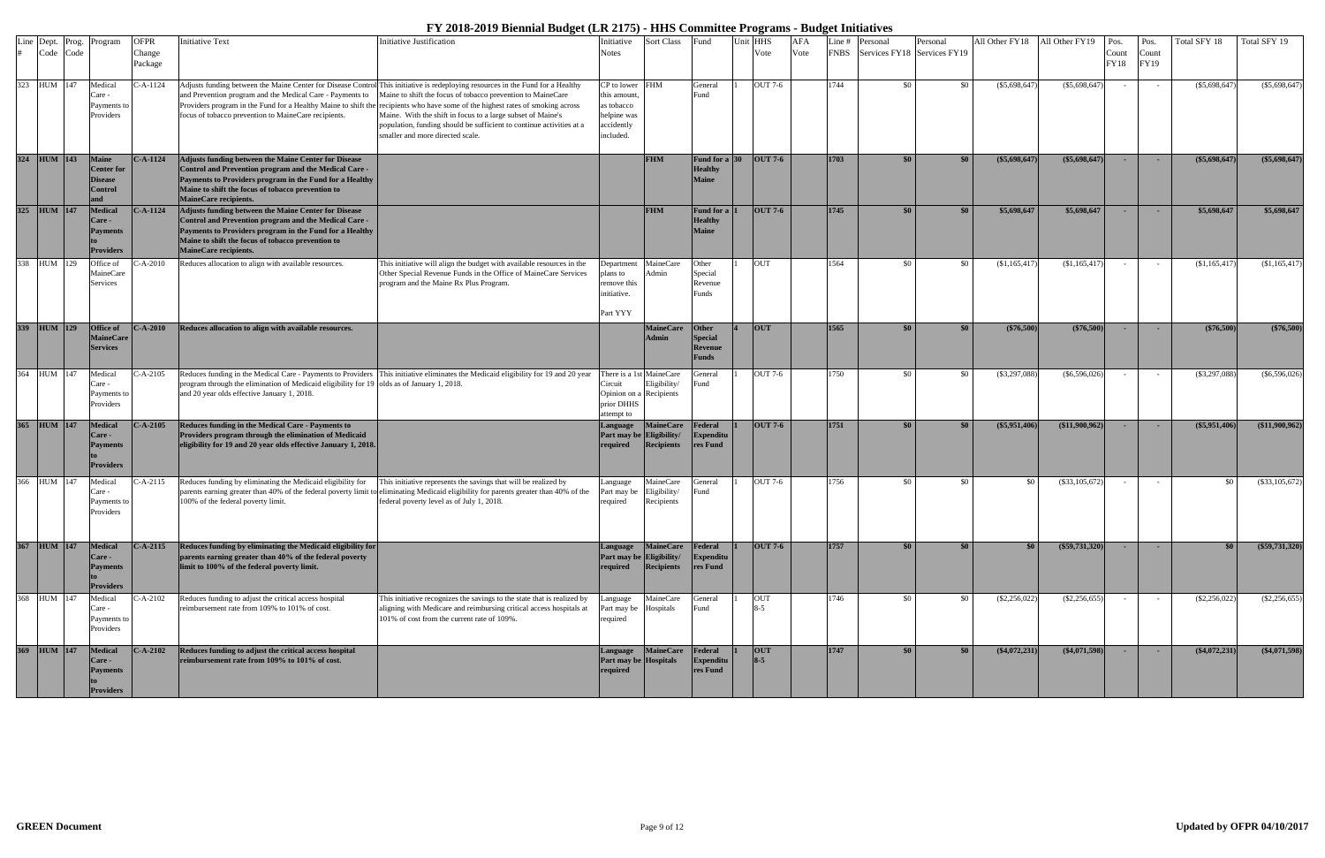| Line | Dept.<br>Code | Code | Prog. Program                                                   | <b>OFPR</b><br>Change<br>Package | <b>Initiative Text</b>                                                                                                                                                                                                                                 | Initiative Justification                                                                                                                                                                                                                                                                                                                                                                                                                                                                                    | Initiative<br>Notes                                                                       | Sort Class                                             | Fund                                                      | Unit HHS<br>Vote      | <b>AFA</b><br>Vote | Line #<br><b>FNBS</b> | Personal<br>Services FY18 Services FY19 | Personal | All Other FY18   | All Other FY19   | Pos.<br>Count<br>FY18 | Pos.<br>Count<br>FY19 | Total SFY 18    | Total SFY 19     |
|------|---------------|------|-----------------------------------------------------------------|----------------------------------|--------------------------------------------------------------------------------------------------------------------------------------------------------------------------------------------------------------------------------------------------------|-------------------------------------------------------------------------------------------------------------------------------------------------------------------------------------------------------------------------------------------------------------------------------------------------------------------------------------------------------------------------------------------------------------------------------------------------------------------------------------------------------------|-------------------------------------------------------------------------------------------|--------------------------------------------------------|-----------------------------------------------------------|-----------------------|--------------------|-----------------------|-----------------------------------------|----------|------------------|------------------|-----------------------|-----------------------|-----------------|------------------|
|      | 323 HUM 147   |      | Medical<br>Care -<br>Payments to<br>Providers                   | C-A-1124                         | and Prevention program and the Medical Care - Payments to<br>focus of tobacco prevention to MaineCare recipients.                                                                                                                                      | Adjusts funding between the Maine Center for Disease Control This initiative is redeploying resources in the Fund for a Healthy<br>Maine to shift the focus of tobacco prevention to MaineCare<br>Providers program in the Fund for a Healthy Maine to shift the recipients who have some of the highest rates of smoking across<br>Maine. With the shift in focus to a large subset of Maine's<br>population, funding should be sufficient to continue activities at a<br>smaller and more directed scale. | $CP$ to lower FHM<br>this amount,<br>as tobacco<br>helpine was<br>accidently<br>included. |                                                        | General<br>Fund                                           | OUT 7-6               |                    | 1744                  | -\$0                                    | \$0      | $(\$5,698,647)$  | (\$5,698,647)    |                       |                       | $(\$5,698,647)$ | $(\$5,698,647)$  |
|      | 324 HUM 143   |      | <b>Maine</b><br><b>Center</b> for<br>Disease<br><b>Control</b>  | $C-A-1124$                       | Adjusts funding between the Maine Center for Disease<br>Control and Prevention program and the Medical Care -<br>Payments to Providers program in the Fund for a Healthy<br>Maine to shift the focus of tobacco prevention to<br>MaineCare recipients. |                                                                                                                                                                                                                                                                                                                                                                                                                                                                                                             |                                                                                           | <b>FHM</b>                                             | Fund for a $ 30 $<br><b>Healthy</b><br><b>Maine</b>       | <b>OUT 7-6</b>        |                    | 1703                  | \$0                                     | \$0      | $(\$5,698,647)$  | $(*5,698,647)$   | $\sim$                | <b>.</b>              | $(\$5,698,647)$ | $(\$5,698,647)$  |
|      | 325 HUM 147   |      | <b>Medical</b><br>Care -<br><b>Payments</b><br><b>Providers</b> | $-.A-1124$                       | Adjusts funding between the Maine Center for Disease<br>Control and Prevention program and the Medical Care -<br>Payments to Providers program in the Fund for a Healthy<br>Maine to shift the focus of tobacco prevention to<br>MaineCare recipients. |                                                                                                                                                                                                                                                                                                                                                                                                                                                                                                             |                                                                                           | <b>FHM</b>                                             | <b>Fund for a</b><br><b>Healthy</b><br><b>Maine</b>       | <b>OUT 7-6</b>        |                    | 1745                  | \$0                                     | \$0      | \$5,698,647      | \$5,698,647      | <b>COL</b>            | <b>.</b>              | \$5,698,647     | \$5,698,647      |
| 338  | HUM 129       |      | Office of<br>MaineCare<br>Services                              | $-A-2010$                        | Reduces allocation to align with available resources.                                                                                                                                                                                                  | This initiative will align the budget with available resources in the<br>Other Special Revenue Funds in the Office of MaineCare Services<br>program and the Maine Rx Plus Program.                                                                                                                                                                                                                                                                                                                          | Department<br>plans to<br>remove this<br>nitiative.<br>Part YYY                           | MaineCare<br>Admin                                     | Other<br>Special<br>Revenue<br><sup>3</sup> unds          | <b>OUT</b>            |                    | 1564                  | - \$0                                   | \$0      | \$1,165,417      | (\$1,165,417)    | $\sim$                | $\sim$ $-$            | \$1,165,417     | (\$1,165,417)    |
|      | 339 HUM 129   |      | Office of<br><b>MaineCare</b><br><b>Services</b>                | $C-A-2010$                       | Reduces allocation to align with available resources.                                                                                                                                                                                                  |                                                                                                                                                                                                                                                                                                                                                                                                                                                                                                             |                                                                                           | <b>MaineCare</b><br>Admin                              | Other<br><b>Special</b><br><b>Revenue</b><br><b>Funds</b> | <b>OUT</b>            |                    | 1565                  | \$0 <sub>1</sub>                        | \$0      | (\$76,500)       | $(*76,500)$      | $\sim$                | <b>.</b>              | (\$76,500)      | (\$76,500)       |
| 364  | HUM 147       |      | Medical<br>Care -<br>Payments to<br>Providers                   | -A-2105                          | program through the elimination of Medicaid eligibility for 19 olds as of January 1, 2018.<br>and 20 year olds effective January 1, 2018.                                                                                                              | Reduces funding in the Medical Care - Payments to Providers This initiative eliminates the Medicaid eligibility for 19 and 20 year                                                                                                                                                                                                                                                                                                                                                                          | `ircuit<br>Opinion on a<br>prior DHHS<br>attempt to                                       | There is a 1st MaineCare<br>Eligibility/<br>Recipients | eneral<br>Fund                                            | OUT 7-6               |                    | 1750                  | -80                                     | \$0      | $(\$3,297,088$   | $(\$6,596,026)$  | $\sim$                | $\sim$                | $(\$3,297,088)$ | $(\$6,596,026)$  |
|      | 365 HUM 147   |      | <b>Medical</b><br>Care -<br><b>Payments</b><br><b>Providers</b> | $C-A-2105$                       | Reduces funding in the Medical Care - Payments to<br>Providers program through the elimination of Medicaid<br>eligibility for 19 and 20 year olds effective January 1, 2018.                                                                           |                                                                                                                                                                                                                                                                                                                                                                                                                                                                                                             | anguage<br>Part may be<br>required                                                        | <b>MaineCare</b><br>Eligibility/<br><b>Recipients</b>  | Federal<br>Expenditu<br>res Fund                          | <b>OUT 7-6</b>        |                    | 1751                  | $\$0$                                   | \$0      | $(\$5,951,406)$  | ( \$11,900,962 ] | <b>.</b>              | <b>COL</b>            | (\$5,951,406)   | (\$11,900,962)   |
|      | 366 HUM 147   |      | Medical<br>Care -<br>Payments to<br>Providers                   | C-A-2115                         | Reduces funding by eliminating the Medicaid eligibility for<br>100% of the federal poverty limit.                                                                                                                                                      | This initiative represents the savings that will be realized by<br>parents earning greater than 40% of the federal poverty limit to eliminating Medicaid eligibility for parents greater than 40% of the<br>federal poverty level as of July 1, 2018.                                                                                                                                                                                                                                                       | Language<br>Part may be<br>required                                                       | MaineCare<br>Eligibility/<br>Recipients                | General<br>Fund                                           | OUT 7-6               |                    | 1756                  | - \$0                                   | \$0      | -80              | $(\$33,105,672)$ |                       |                       | \$0             | $(\$33,105,672)$ |
|      | 367 HUM 147   |      | <b>Medical</b><br>Care -<br><b>Payments</b><br><b>Providers</b> | $C-A-2115$                       | Reduces funding by eliminating the Medicaid eligibility for<br>parents earning greater than 40% of the federal poverty<br>limit to 100% of the federal poverty limit.                                                                                  |                                                                                                                                                                                                                                                                                                                                                                                                                                                                                                             | Language<br>Part may be Eligibility/<br>required                                          | MaineCare Federal<br>Recipients                        | Expenditu<br>res Fund                                     | <b>OUT 7-6</b>        |                    | 1757                  | \$0 <sub>1</sub>                        | \$0      | \$0 <sub>1</sub> | $(*59,731,320)$  | <b>COL</b>            |                       | \$0             | (\$59,731,320)   |
|      | 368 HUM 147   |      | Medical<br>Care -<br>Payments to<br>Providers                   | $C-A-2102$                       | Reduces funding to adjust the critical access hospital<br>reimbursement rate from 109% to 101% of cost.                                                                                                                                                | This initiative recognizes the savings to the state that is realized by<br>aligning with Medicare and reimbursing critical access hospitals at<br>101% of cost from the current rate of 109%.                                                                                                                                                                                                                                                                                                               | Language<br>Part may be<br>required                                                       | MaineCare<br>Hospitals                                 | General<br>Fund                                           | <b>OUT</b>            |                    | 1746                  | - \$0                                   | \$0      | $(\$2,256,022)$  | $(\$2,256,655)$  |                       |                       | $(\$2,256,022)$ | $(\$2,256,655)$  |
|      | 369 HUM 147   |      | <b>Medical</b><br>Care -<br><b>Payments</b><br><b>Providers</b> | $C-A-2102$                       | Reduces funding to adjust the critical access hospital<br>reimbursement rate from 109% to 101% of cost.                                                                                                                                                |                                                                                                                                                                                                                                                                                                                                                                                                                                                                                                             | Language<br>Part may be Hospitals<br>required                                             | MaineCare Federal                                      | <b>Expenditu</b><br>res Fund                              | <b>OUT</b><br>$8 - 5$ |                    | 1747                  | - \$0 L                                 | \$0      | $(\$4,072,231)$  | $(*4,071,598)$   | <b>Contract</b>       |                       | $(*4,072,231)$  | $(*4,071,598)$   |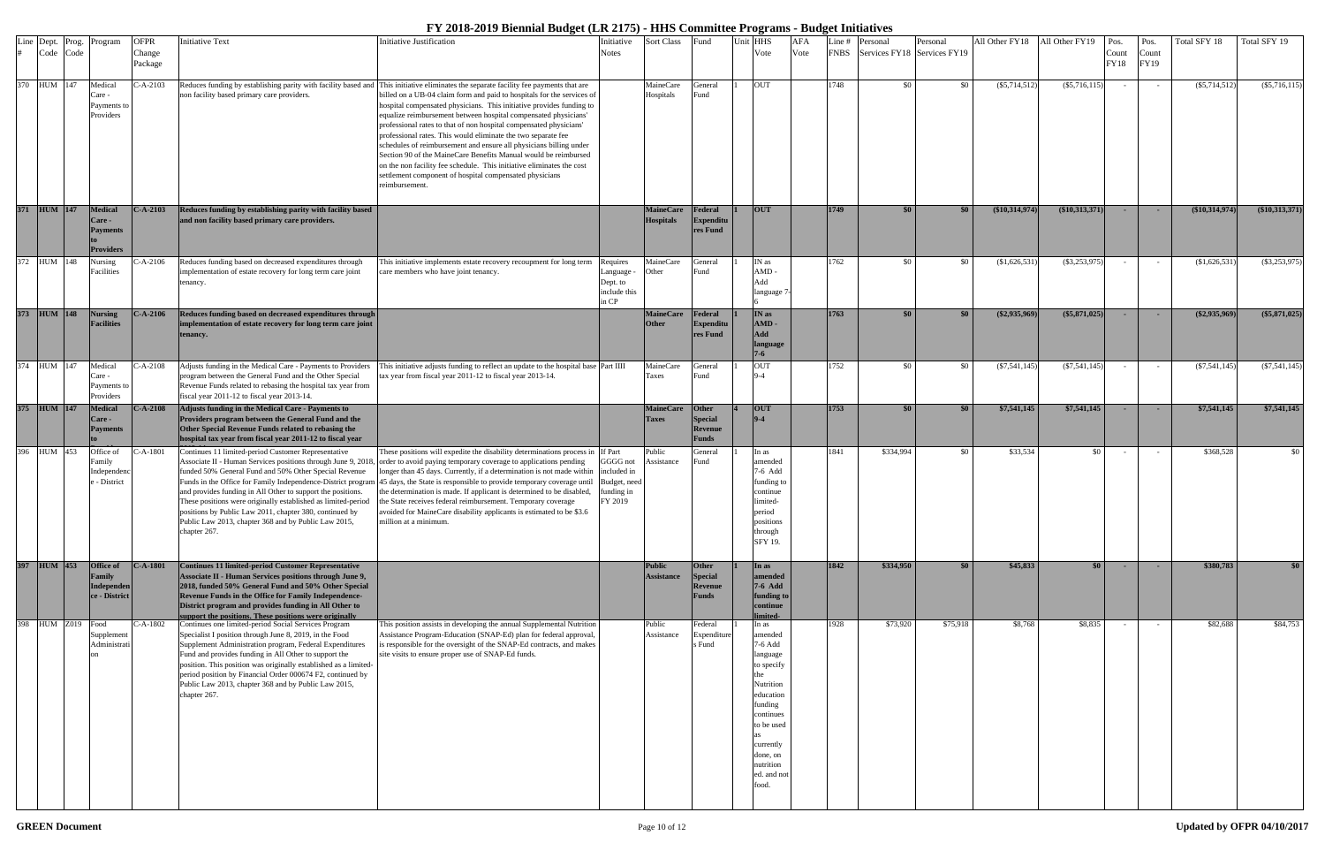|     | Line Dept. Prog.<br>Code Code | Program                                                          | <b>OFPR</b><br>Change<br>Package | <b>Initiative Text</b>                                                                                                                                                                                                                                                                                                                                                                                                                           | <b>Initiative Justification</b>                                                                                                                                                                                                                                                                                                                                                                                                                                                                                                                                                                                                                                                                                                                                                                  | nitiative<br>Notes                                              | Sort Class                           | Fund                                                             | Init HHS<br>Vote                                                                                                                                                                   | <b>AFA</b><br>Vote | -ine #<br><b>FNBS</b> | Personal<br>Services FY18 Services FY19 | Personal | All Other FY18  | All Other FY19   | Pos.<br>Count<br>FY18 | Pos.<br>Count<br>FY19 | Total SFY 18     | Total SFY 19     |
|-----|-------------------------------|------------------------------------------------------------------|----------------------------------|--------------------------------------------------------------------------------------------------------------------------------------------------------------------------------------------------------------------------------------------------------------------------------------------------------------------------------------------------------------------------------------------------------------------------------------------------|--------------------------------------------------------------------------------------------------------------------------------------------------------------------------------------------------------------------------------------------------------------------------------------------------------------------------------------------------------------------------------------------------------------------------------------------------------------------------------------------------------------------------------------------------------------------------------------------------------------------------------------------------------------------------------------------------------------------------------------------------------------------------------------------------|-----------------------------------------------------------------|--------------------------------------|------------------------------------------------------------------|------------------------------------------------------------------------------------------------------------------------------------------------------------------------------------|--------------------|-----------------------|-----------------------------------------|----------|-----------------|------------------|-----------------------|-----------------------|------------------|------------------|
| 370 | HUM 147                       | Medical<br>Care -<br>Payments to<br>Providers                    | $C-A-2103$                       | non facility based primary care providers.                                                                                                                                                                                                                                                                                                                                                                                                       | Reduces funding by establishing parity with facility based and This initiative eliminates the separate facility fee payments that are<br>billed on a UB-04 claim form and paid to hospitals for the services of<br>hospital compensated physicians. This initiative provides funding to<br>equalize reimbursement between hospital compensated physicians'<br>professional rates to that of non hospital compensated physicians'<br>professional rates. This would eliminate the two separate fee<br>schedules of reimbursement and ensure all physicians billing under<br>Section 90 of the MaineCare Benefits Manual would be reimbursed<br>on the non facility fee schedule. This initiative eliminates the cost<br>settlement component of hospital compensated physicians<br>reimbursement. |                                                                 | MaineCare<br>Hospitals               | General<br>Fund                                                  | <b>OUT</b>                                                                                                                                                                         |                    | 1748                  | \$0                                     | \$0      | $(\$5,714,512)$ | $(\$5,716,115)$  |                       |                       | $(\$5,714,512)$  | $(\$5,716,115)$  |
|     | 371 HUM 147                   | <b>Medical</b><br>Care -<br><b>Payments</b><br><b>Providers</b>  | $C-A-2103$                       | Reduces funding by establishing parity with facility based<br>and non facility based primary care providers.                                                                                                                                                                                                                                                                                                                                     |                                                                                                                                                                                                                                                                                                                                                                                                                                                                                                                                                                                                                                                                                                                                                                                                  |                                                                 | <b>MaineCare</b><br><b>Hospitals</b> | <b>Federal</b><br><b>Expenditu</b><br>res Fund                   | <b>OUT</b>                                                                                                                                                                         |                    | 1749                  | \$0                                     | \$0      | (\$10,314,974)  | (\$10,313,371)   | $\sim$                | $\sim$                | $(\$10,314,974)$ | $(\$10,313,371)$ |
|     | 372 HUM 148                   | Nursing<br>Facilities                                            | $-A-2106$                        | Reduces funding based on decreased expenditures through<br>implementation of estate recovery for long term care joint<br>tenancy.                                                                                                                                                                                                                                                                                                                | This initiative implements estate recovery recoupment for long term<br>care members who have joint tenancy.                                                                                                                                                                                                                                                                                                                                                                                                                                                                                                                                                                                                                                                                                      | Requires<br>Language ·<br>Dept. to<br>include this<br>in CP     | MaineCare<br><b>Other</b>            | General<br>Fund                                                  | IN as<br>$AMD -$<br>Add<br>language <sup>7</sup>                                                                                                                                   |                    | 1762                  | -\$0                                    | \$0      | \$1,626,531     | $(\$3,253,975)$  | $\sim$ $-$            |                       | (\$1,626,531)    | $(\$3,253,975)$  |
|     | 373 HUM 148                   | <b>Nursing</b><br><b>Facilities</b>                              | $C-A-2106$                       | Reduces funding based on decreased expenditures through<br>implementation of estate recovery for long term care joint<br>tenancy.                                                                                                                                                                                                                                                                                                                |                                                                                                                                                                                                                                                                                                                                                                                                                                                                                                                                                                                                                                                                                                                                                                                                  |                                                                 | <b>MaineCare</b><br><b>Other</b>     | Federal<br><b>Expenditu</b><br>res Fund                          | IN as<br>AMD-<br>Add<br>language                                                                                                                                                   |                    | 1763                  | $\$0$                                   | \$0      | $(\$2,935,969)$ | $(\$5,871,025)$  | $\sim$                | <b>.</b>              | $(\$2,935,969)$  | $(\$5,871,025)$  |
|     | 374 HUM 147                   | Medical<br>Care -<br>Payments to<br><i>roviders</i>              | $-A-2108$                        | Adjusts funding in the Medical Care - Payments to Providers<br>program between the General Fund and the Other Special<br>Revenue Funds related to rebasing the hospital tax year from<br>fiscal year 2011-12 to fiscal year 2013-14.                                                                                                                                                                                                             | This initiative adjusts funding to reflect an update to the hospital base Part IIII<br>tax year from fiscal year 2011-12 to fiscal year 2013-14.                                                                                                                                                                                                                                                                                                                                                                                                                                                                                                                                                                                                                                                 |                                                                 | MaineCare<br>Taxes                   | General<br>Fund                                                  | <b>OUT</b>                                                                                                                                                                         |                    | 1752                  | \$0                                     | \$0      | $(\$7,541,145)$ | $(\$7,541,145)$  | $\sim$                | $\sim$                | $(\$7,541,145)$  | $(\$7,541,145)$  |
|     | 375 HUM 147                   | <b>Medical</b><br>Care -<br><b>Payments</b>                      | $C-A-2108$                       | Adjusts funding in the Medical Care - Payments to<br>Providers program between the General Fund and the<br>Other Special Revenue Funds related to rebasing the<br>hospital tax year from fiscal year 2011-12 to fiscal year                                                                                                                                                                                                                      |                                                                                                                                                                                                                                                                                                                                                                                                                                                                                                                                                                                                                                                                                                                                                                                                  |                                                                 | <b>MaineCare</b><br><b>Taxes</b>     | Other<br><b>Special</b><br><b>Revenue</b><br><b>Funds</b>        | <b>OUT</b><br>$9 - 4$                                                                                                                                                              |                    | 1753                  | \$0                                     | \$0      | \$7,541,145     | \$7,541,145      | - 1                   | $\sim$                | \$7,541,145      | \$7,541,145      |
|     | 396 HUM 453                   | Office of<br><sup>3</sup> amily<br>ndependen<br>- District       | C-A-1801                         | Continues 11 limited-period Customer Representative<br>Associate II - Human Services positions through June 9, 2018,<br>funded 50% General Fund and 50% Other Special Revenue<br>and provides funding in All Other to support the positions.<br>These positions were originally established as limited-period<br>positions by Public Law 2011, chapter 380, continued by<br>Public Law 2013, chapter 368 and by Public Law 2015,<br>chapter 267. | These positions will expedite the disability determinations process in If Part<br>order to avoid paying temporary coverage to applications pending<br>longer than 45 days. Currently, if a determination is not made within<br>Funds in the Office for Family Independence-District program 45 days, the State is responsible to provide temporary coverage until<br>the determination is made. If applicant is determined to be disabled,<br>the State receives federal reimbursement. Temporary coverage<br>avoided for MaineCare disability applicants is estimated to be \$3.6<br>million at a minimum.                                                                                                                                                                                      | GGGG not<br>included in<br>Budget, need<br>unding in<br>FY 2019 | Public<br>Assistance                 | General<br>und <sup>?</sup>                                      | In as<br>imended<br>7-6 Add<br>funding to<br>continue<br>limited<br>period<br>positions<br>through<br>SFY 19.                                                                      |                    | 1841                  | \$334,994                               | \$0      | \$33,534        | \$0              |                       |                       | \$368,528        | \$0 <sub>1</sub> |
|     | 397 HUM 453                   | <b>Office of</b><br>Family<br><b>Independen</b><br>ce - District | <b>C-A-1801</b>                  | Continues 11 limited-period Customer Representative<br>Associate II - Human Services positions through June 9,<br>2018, funded 50% General Fund and 50% Other Special<br>Revenue Funds in the Office for Family Independence-<br>District program and provides funding in All Other to<br>pport the positions. These positions were originally                                                                                                   |                                                                                                                                                                                                                                                                                                                                                                                                                                                                                                                                                                                                                                                                                                                                                                                                  |                                                                 | <b>Public</b><br><b>Assistance</b>   | <b>Other</b><br><b>Special</b><br><b>Revenue</b><br><b>Funds</b> | In as<br>amended<br>7-6 Add<br>funding to<br>continue                                                                                                                              |                    | 1842                  | \$334,950                               | \$0      | \$45,833        | \$0 <sub>1</sub> | $\sim$ $-$            | <b>COL</b>            | \$380,783        | \$0              |
| 398 | <b>HUM Z019</b>               | Food<br>Supplemen<br>Administrati                                | C-A-1802                         | Continues one limited-period Social Services Program<br>Specialist I position through June 8, 2019, in the Food<br>Supplement Administration program, Federal Expenditures<br>Fund and provides funding in All Other to support the<br>position. This position was originally established as a limited-<br>period position by Financial Order 000674 F2, continued by<br>Public Law 2013, chapter 368 and by Public Law 2015,<br>chapter 267.    | This position assists in developing the annual Supplemental Nutrition<br>Assistance Program-Education (SNAP-Ed) plan for federal approval,<br>is responsible for the oversight of the SNAP-Ed contracts, and makes<br>site visits to ensure proper use of SNAP-Ed funds.                                                                                                                                                                                                                                                                                                                                                                                                                                                                                                                         |                                                                 | Public<br>Assistance                 | Federal<br>Expenditur<br>s Fund                                  | In as<br>amended<br>7-6 Add<br>language<br>to specify<br>Nutrition<br>education<br>funding<br>continues<br>to be used<br>currently<br>done, on<br>nutrition<br>ed. and no<br>food. |                    | 1928                  | \$73,920                                | \$75,918 | \$8,768         | \$8,835          | $\sim$ $-$            |                       | \$82,688         | \$84,753         |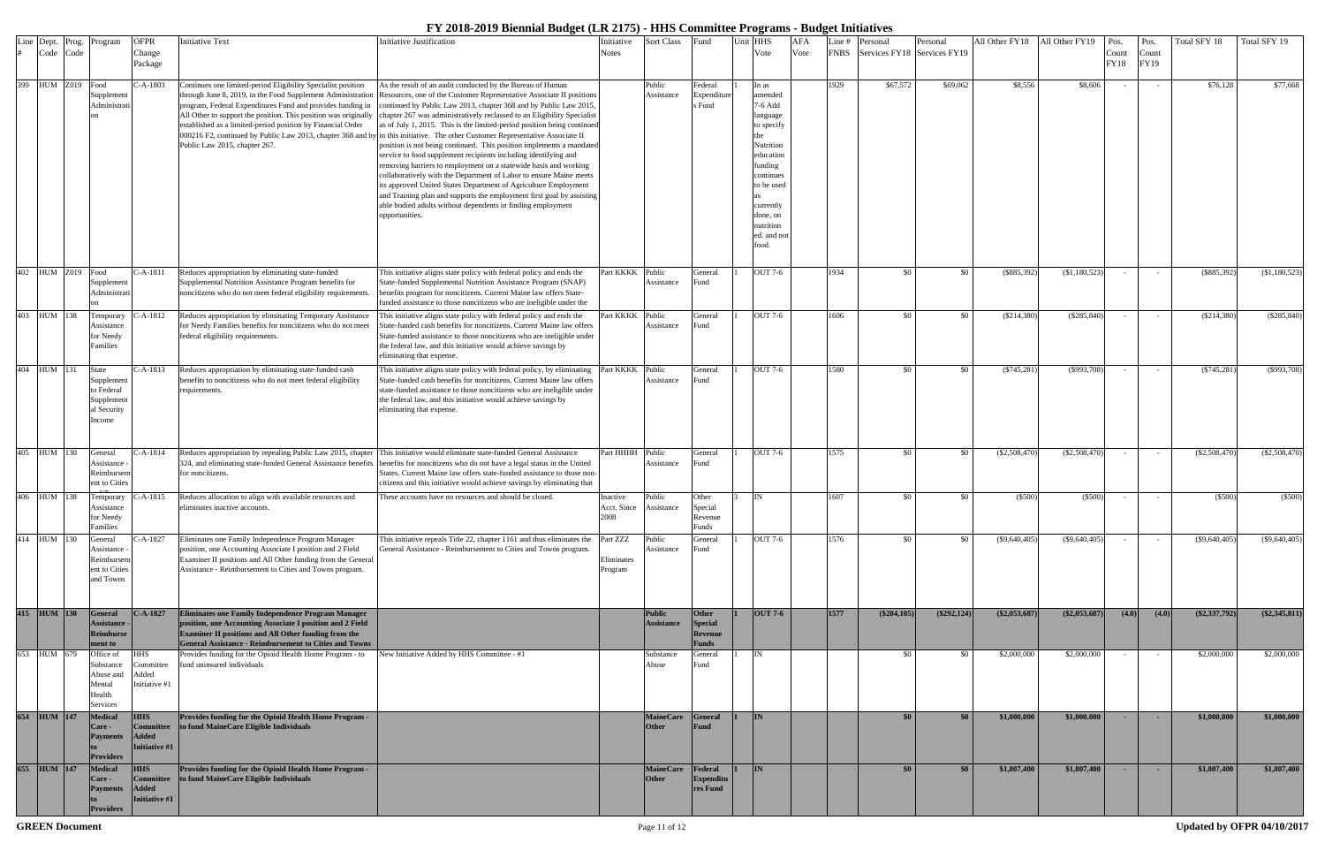| Line |             |                   | Dept. Prog. Program                                                   | <b>OFPR</b>                                                     | <b>Initiative Text</b>                                                                                                                                                                                                                                                                                                                                       | Initiative Justification                                                                                                                                                                                                                                                                                                                                                                                                                                                                                                                                                                                                                                                                                                                                                                                                                                                                                                                                                                                          | Initiative                      | Sort Class                         | Fund                                               | Unit HHS                                                                                                                                                                           | <b>AFA</b> | -ine #      | Personal                    | Personal      | All Other FY18  | All Other FY19  | Pos.          | Pos.          | Total SFY 18    | Total SFY 19    |
|------|-------------|-------------------|-----------------------------------------------------------------------|-----------------------------------------------------------------|--------------------------------------------------------------------------------------------------------------------------------------------------------------------------------------------------------------------------------------------------------------------------------------------------------------------------------------------------------------|-------------------------------------------------------------------------------------------------------------------------------------------------------------------------------------------------------------------------------------------------------------------------------------------------------------------------------------------------------------------------------------------------------------------------------------------------------------------------------------------------------------------------------------------------------------------------------------------------------------------------------------------------------------------------------------------------------------------------------------------------------------------------------------------------------------------------------------------------------------------------------------------------------------------------------------------------------------------------------------------------------------------|---------------------------------|------------------------------------|----------------------------------------------------|------------------------------------------------------------------------------------------------------------------------------------------------------------------------------------|------------|-------------|-----------------------------|---------------|-----------------|-----------------|---------------|---------------|-----------------|-----------------|
|      |             | Code Code         |                                                                       | Change<br>Package                                               |                                                                                                                                                                                                                                                                                                                                                              |                                                                                                                                                                                                                                                                                                                                                                                                                                                                                                                                                                                                                                                                                                                                                                                                                                                                                                                                                                                                                   | Notes                           |                                    |                                                    | Vote                                                                                                                                                                               | Vote       | <b>FNBS</b> | Services FY18 Services FY19 |               |                 |                 | Count<br>FY18 | Count<br>FY19 |                 |                 |
|      |             | 399 HUM Z019 Food | Supplement<br>Administrati                                            | $C-A-1803$                                                      | Continues one limited-period Eligibility Specialist position<br>through June 8, 2019, in the Food Supplement Administration<br>program, Federal Expenditures Fund and provides funding in<br>All Other to support the position. This position was originally<br>established as a limited-period position by Financial Order<br>Public Law 2015, chapter 267. | As the result of an audit conducted by the Bureau of Human<br>Resources, one of the Customer Representative Associate II positions<br>continued by Public Law 2013, chapter 368 and by Public Law 2015,<br>chapter 267 was administratively reclassed to an Eligibility Specialist<br>as of July 1, 2015. This is the limited-period position being continued<br>000216 F2, continued by Public Law 2013, chapter 368 and by in this initiative. The other Customer Representative Associate II<br>position is not being continued. This position implements a mandated<br>service to food supplement recipients including identifying and<br>removing barriers to employment on a statewide basis and working<br>collaboratively with the Department of Labor to ensure Maine meets<br>its approved United States Department of Agriculture Employment<br>and Training plan and supports the employment first goal by assisting<br>able bodied adults without dependents in finding employment<br>opportunities. |                                 | Public<br>Assistance               | Federal<br>Expenditur<br>Fund                      | In as<br>amended<br>7-6 Add<br>language<br>to specify<br>Nutrition<br>education<br>funding<br>continues<br>to be used<br>currently<br>done, on<br>nutrition<br>ed. and no<br>food. |            | 1929        | \$67,572                    | \$69,062      | \$8,556         | \$8,606         |               | $\sim$        | \$76,128        | \$77,668        |
|      |             | 402 HUM Z019 Food | Supplement<br>Administrati                                            | C-A-1811                                                        | Reduces appropriation by eliminating state-funded<br>Supplemental Nutrition Assistance Program benefits for<br>noncitizens who do not meet federal eligibility requirements                                                                                                                                                                                  | This initiative aligns state policy with federal policy and ends the<br>State-funded Supplemental Nutrition Assistance Program (SNAP)<br>benefits program for noncitizens. Current Maine law offers State-<br>funded assistance to those noncitizens who are ineligible under the                                                                                                                                                                                                                                                                                                                                                                                                                                                                                                                                                                                                                                                                                                                                 | Part KKKK                       | Public<br>Assistance               | General<br>Fund                                    | OUT 7-6                                                                                                                                                                            |            | 1934        | \$0                         | \$0           | (\$885,392)     | $(\$1,180,523)$ | $\sim$        | $\sim$ $-$    | $(\$885,392)$   | (\$1,180,523)   |
|      | 403 HUM 138 |                   | Temporary<br>Assistance<br>for Needy<br>amilies                       | -A-1812                                                         | Reduces appropriation by eliminating Temporary Assistance<br>for Needy Families benefits for noncitizens who do not meet<br>federal eligibility requirements.                                                                                                                                                                                                | This initiative aligns state policy with federal policy and ends the<br>State-funded cash benefits for noncitizens. Current Maine law offers<br>State-funded assistance to those noncitizens who are ineligible under<br>the federal law, and this initiative would achieve savings by<br>eliminating that expense.                                                                                                                                                                                                                                                                                                                                                                                                                                                                                                                                                                                                                                                                                               | Part KKKK                       | Public<br>Assistance               | General<br>Fund                                    | OUT 7-6                                                                                                                                                                            |            | 1606        | -\$0                        | \$0           | $(\$214,380)$   | (\$285,840)     | $\sim$        | $\sim$        | (\$214,380)     | (\$285,840)     |
|      | 404 HUM 131 |                   | State<br>Supplement<br>o Federal<br>Supplement<br>l Security<br>ncome | C-A-1813                                                        | Reduces appropriation by eliminating state-funded cash<br>benefits to noncitizens who do not meet federal eligibility<br>requirements.                                                                                                                                                                                                                       | This initiative aligns state policy with federal policy, by eliminating<br>State-funded cash benefits for noncitizens. Current Maine law offers<br>state-funded assistance to those noncitizens who are ineligible under<br>the federal law, and this initiative would achieve savings by<br>eliminating that expense.                                                                                                                                                                                                                                                                                                                                                                                                                                                                                                                                                                                                                                                                                            | art KKKK                        | Public<br>Assistance               | General<br>Fund                                    | OUT 7-6                                                                                                                                                                            |            | 1580        | - \$0                       | \$0           | $(\$745,281$    | $(\$993,708)$   | $\sim$ $-$    | $\sim$        | (S745, 281)     | $($ \$993,708)  |
|      | 405 HUM 130 |                   | General<br>Assistance<br>Reimbursem<br>nt to Cities                   | -A-1814                                                         | 324, and eliminating state-funded General Assistance benefits<br>for noncitizens.                                                                                                                                                                                                                                                                            | Reduces appropriation by repealing Public Law 2015, chapter This initiative would eliminate state-funded General Assistance<br>benefits for noncitizens who do not have a legal status in the United<br>States. Current Maine law offers state-funded assistance to those non-<br>citizens and this initiative would achieve savings by eliminating that                                                                                                                                                                                                                                                                                                                                                                                                                                                                                                                                                                                                                                                          | Part HHHH Public                | Assistance                         | General<br>-und                                    | OUT 7-6                                                                                                                                                                            |            | 1575        | \$0                         | \$0           | (\$2,508,470    | $(\$2,508,470)$ | $\sim$        |               | $(\$2,508,470)$ | $(\$2,508,470)$ |
|      | 406 HUM 138 |                   | Temporary<br>Assistance<br>for Needy<br>Families                      | C-A-1815                                                        | Reduces allocation to align with available resources and<br>eliminates inactive accounts.                                                                                                                                                                                                                                                                    | These accounts have no resources and should be closed.                                                                                                                                                                                                                                                                                                                                                                                                                                                                                                                                                                                                                                                                                                                                                                                                                                                                                                                                                            | Inactive<br>Acct. Since<br>2008 | Public<br>Assistance               | Other<br>Special<br>Revenue<br>Funds               | IN                                                                                                                                                                                 |            | 1607        | <b>SO</b>                   | \$0           | (S500)          | $(\$500)$       | $\sim$ $-$    | $\sim$        | $(\$500)$       | $(\$500)$       |
|      | 414 HUM 130 |                   | General<br>Assistance<br>Reimbursem<br>ent to Cities<br>and Towns     | C-A-1827                                                        | Iliminates one Family Independence Program Manager<br>position, one Accounting Associate I position and 2 Field<br>Examiner II positions and All Other funding from the General<br>Assistance - Reimbursement to Cities and Towns program.                                                                                                                   | This initiative repeals Title 22, chapter 1161 and thus eliminates the Part ZZZ<br>General Assistance - Reimbursement to Cities and Towns program.                                                                                                                                                                                                                                                                                                                                                                                                                                                                                                                                                                                                                                                                                                                                                                                                                                                                | Eliminates<br>Program           | Public<br>Assistance               | General<br>Fund                                    | OUT 7-6                                                                                                                                                                            |            | 1576        | <b>SO</b>                   | \$0           | $(\$9,640,405)$ | $(\$9,640,405)$ | $\sim$ $-$    | $\sim$        | $(\$9,640,405)$ | $(\$9,640,405)$ |
|      | 415 HUM 130 |                   | General<br>Assistance<br><b>Reimburse</b><br>ment to                  | <b>C-A-1827</b>                                                 | Eliminates one Family Independence Program Manager<br>position, one Accounting Associate I position and 2 Field<br>Examiner II positions and All Other funding from the<br><b>General Assistance - Reimbursement to Cities and Towns</b>                                                                                                                     |                                                                                                                                                                                                                                                                                                                                                                                                                                                                                                                                                                                                                                                                                                                                                                                                                                                                                                                                                                                                                   |                                 | <b>Public</b><br><b>Assistance</b> | Other<br><b>Special</b><br><b>Revenue</b><br>Funds | <b>OUT 7-6</b>                                                                                                                                                                     |            | 1577        | $(\$284,105)$               | $(\$292,124)$ | $(\$2,053,687$  | $(\$2,053,687)$ | (4.0)         | (4.0)         | $(\$2,337,792)$ | $(\$2,345,811)$ |
| 653  | HUM 679     |                   | Office of<br>Substance<br>Abuse and<br>Mental<br>Health<br>Services   | HHS<br>Committee<br>Added<br>Initiative #1                      | Provides funding for the Opioid Health Home Program - to<br>fund uninsured individuals                                                                                                                                                                                                                                                                       | New Initiative Added by HHS Committee - #1                                                                                                                                                                                                                                                                                                                                                                                                                                                                                                                                                                                                                                                                                                                                                                                                                                                                                                                                                                        |                                 | Substance<br>Abuse                 | General<br>Fund                                    | IN                                                                                                                                                                                 |            |             | \$0                         | \$0           | \$2,000,000     | \$2,000,000     | $\sim$        |               | \$2,000,000     | \$2,000,000     |
|      | 654 HUM 147 |                   | <b>Medical</b><br>Care -<br><b>Payments</b><br><b>Providers</b>       | <b>HHS</b><br>Committee<br><b>Added</b><br><b>Initiative #1</b> | Provides funding for the Opioid Health Home Program -<br>to fund MaineCare Eligible Individuals                                                                                                                                                                                                                                                              |                                                                                                                                                                                                                                                                                                                                                                                                                                                                                                                                                                                                                                                                                                                                                                                                                                                                                                                                                                                                                   |                                 | <b>MaineCare</b><br>Other          | <b>General</b><br><b>Fund</b>                      | IN                                                                                                                                                                                 |            |             | \$0 <sub>1</sub>            | \$0           | \$1,000,000     | \$1,000,000     | <b>COL</b>    | <b>COL</b>    | \$1,000,000     | \$1,000,000     |
|      | 655 HUM 147 |                   | <b>Medical</b><br>Care -<br><b>Payments</b>                           | <b>HHS</b><br><b>Committee</b><br><b>Added</b><br>Initiative #1 | Provides funding for the Opioid Health Home Program -<br>to fund MaineCare Eligible Individuals                                                                                                                                                                                                                                                              |                                                                                                                                                                                                                                                                                                                                                                                                                                                                                                                                                                                                                                                                                                                                                                                                                                                                                                                                                                                                                   |                                 | <b>MaineCare</b><br>Other          | Federal<br><b>Expenditu</b><br>res Fund            | IN                                                                                                                                                                                 |            |             | \$0                         | \$0           | \$1,807,400     | \$1,807,400     | $\sim$        | <b>.</b>      | \$1,807,400     | \$1,807,400     |